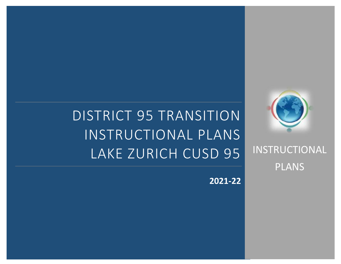# DISTRICT 95 TRANSITION INSTRUCTIONAL PLANS LAKE ZURICH CUSD 95



INSTRUCTIONAL PLANS

**2021-22**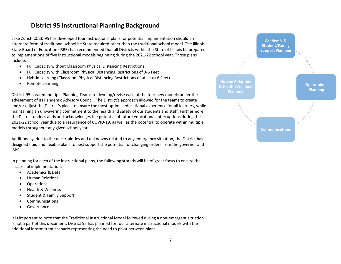### **District 95 Instructional Planning Background**

Lake Zurich CUSD 95 has developed four instructional plans for potential implementation should an alternate form of traditional school be State required other than the traditional school model. The Illinois State Board of Education (ISBE) has recommended that all Districts within the State of Illinois be prepared to implement one of five instructional models beginning during the 2021-22 school year. Those plans include:

- Full Capacity without Classroom Physical Distancing Restrictions
- Full Capacity with Classroom Physical Distancing Restrictions of 3-6 Feet
- Hybrid Learning (Classroom Physical Distancing Restrictions of at Least 6 Feet)
- Remote Learning

District 95 created multiple Planning Teams to develop/revise each of the four new models under the advisement of its Pandemic Advisory Council. The District's approach allowed for the teams to create and/or adjust the District's plans to ensure the most optimal educational experience for all learners, while maintaining an unwavering commitment to the health and safety of our students and staff. Furthermore, the District understands and acknowledges the potential of future educational interruptions during the 2021-22 school year due to a resurgence of COVID-19, as well as the potential to operate within multiple models throughout any given school year.

Additionally, due to the uncertainties and unknowns related to any emergency situation, the District has designed fluid and flexible plans to best support the potential for changing orders from the governor and ISBE.

In planning for each of the instructional plans, the following strands will be of great focus to ensure the successful implementation:

- Academics & Data
- Human Relations
- Operations
- Health & Wellness
- Student & Family Support
- Communications
- Governance

It is important to note that the Traditional Instructional Model followed during a non-emergent situation is not a part of this document. District 95 has planned for four alternate instructional models with the additional intermittent scenario representing the need to pivot between plans.

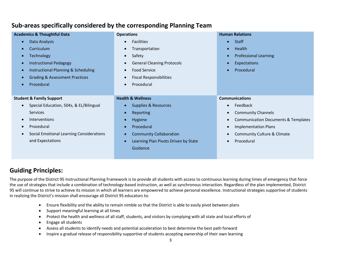| <b>Academics &amp; Thoughtful Data</b>    | <b>Operations</b>                                 | <b>Human Relations</b>                                      |
|-------------------------------------------|---------------------------------------------------|-------------------------------------------------------------|
| Data Analysis                             | <b>Facilities</b><br>$\bullet$                    | <b>Staff</b><br>$\bullet$                                   |
| Curriculum                                | Transportation<br>$\bullet$                       | Health<br>$\bullet$                                         |
| Technology                                | Safety<br>$\bullet$                               | <b>Professional Learning</b>                                |
| <b>Instructional Pedagogy</b>             | <b>General Cleaning Protocols</b><br>$\bullet$    | <b>Expectations</b>                                         |
| Instructional Planning & Scheduling       | <b>Food Service</b><br>$\bullet$                  | Procedural                                                  |
| <b>Grading &amp; Assessment Practices</b> | <b>Fiscal Responsibilities</b><br>$\bullet$       |                                                             |
| Procedural                                | Procedural<br>$\bullet$                           |                                                             |
|                                           |                                                   |                                                             |
| <b>Student &amp; Family Support</b>       | <b>Health &amp; Wellness</b>                      | <b>Communications</b>                                       |
| Special Education, 504s, & EL/Bilingual   | Supplies & Resources                              | Feedback                                                    |
| <b>Services</b>                           | Reporting<br>$\bullet$                            | <b>Community Channels</b>                                   |
| <b>Interventions</b>                      | Hygiene<br>$\bullet$                              | <b>Communication Documents &amp; Templates</b><br>$\bullet$ |
| Procedural                                | Procedural<br>$\epsilon$                          | <b>Implementation Plans</b>                                 |
| Social Emotional Learning Considerations  | <b>Community Collaboration</b>                    | Community Culture & Climate                                 |
| and Expectations                          | Learning Plan Pivots Driven by State<br>$\bullet$ | Procedural                                                  |
|                                           | Guidance                                          |                                                             |
|                                           |                                                   |                                                             |

### **Sub-areas specifically considered by the corresponding Planning Team**

### **Guiding Principles:**

The purpose of the District 95 Instructional Planning Framework is to provide all students with access to continuous learning during times of emergency that force the use of strategies that include a combination of technology-based instruction, as well as synchronous interaction. Regardless of the plan implemented, District 95 will continue to strive to achieve its mission in which all learners are empowered to achieve personal excellence. Instructional strategies supportive of students in realizing the District's mission shall encourage all District 95 educators to:

- Ensure flexibility and the ability to remain nimble so that the District is able to easily pivot between plans
- Support meaningful learning at all times
- Protect the health and wellness of all staff, students, and visitors by complying with all state and local efforts of
- Engage all students
- Assess all students to identify needs and potential acceleration to best determine the best path forward
- Inspire a gradual release of responsibility supportive of students accepting ownership of their own learning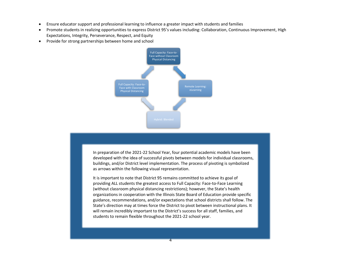- Ensure educator support and professional learning to influence a greater impact with students and families
- Promote students in realizing opportunities to express District 95's values including: Collaboration, Continuous Improvement, High Expectations, Integrity, Perseverance, Respect, and Equity
- Provide for strong partnerships between home and school



In preparation of the 2021-22 School Year, four potential academic models have been developed with the idea of successful pivots between models for individual classrooms, buildings, and/or District level implementation. The process of pivoting is symbolized as arrows within the following visual representation.

It is important to note that District 95 remains committed to achieve its goal of providing ALL students the greatest access to Full Capacity: Face-to-Face Learning (without classroom physical distancing restrictions); however, the State's health organizations in cooperation with the Illinois State Board of Education provide specific guidance, recommendations, and/or expectations that school districts shall follow. The State's direction may at times force the District to pivot between instructional plans. It will remain incredibly important to the District's success for all staff, families, and students to remain flexible throughout the 2021-22 school year.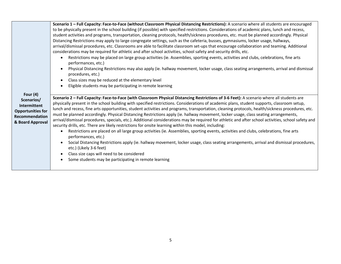|                                                                                              | Scenario 1 - Full Capacity: Face-to-Face (without Classroom Physical Distancing Restrictions): A scenario where all students are encouraged<br>to be physically present in the school building (if possible) with specified restrictions. Considerations of academic plans, lunch and recess,<br>student activities and programs, transportation, cleaning protocols, health/sickness procedures, etc. must be planned accordingly. Physical                                                                                                                                                                                                                                                                                                                                                                                                                                                                                                                                                                                                                                                                                                                                                                                                                                                       |
|----------------------------------------------------------------------------------------------|----------------------------------------------------------------------------------------------------------------------------------------------------------------------------------------------------------------------------------------------------------------------------------------------------------------------------------------------------------------------------------------------------------------------------------------------------------------------------------------------------------------------------------------------------------------------------------------------------------------------------------------------------------------------------------------------------------------------------------------------------------------------------------------------------------------------------------------------------------------------------------------------------------------------------------------------------------------------------------------------------------------------------------------------------------------------------------------------------------------------------------------------------------------------------------------------------------------------------------------------------------------------------------------------------|
|                                                                                              | Distancing Restrictions may apply to large congregate settings, such as the cafeteria, busses, gymnasiums, locker usage, hallways,<br>arrival/dismissal procedures, etc. Classrooms are able to facilitate classroom set-ups that encourage collaboration and teaming. Additional<br>considerations may be required for athletic and after school activities, school safety and security drills, etc.                                                                                                                                                                                                                                                                                                                                                                                                                                                                                                                                                                                                                                                                                                                                                                                                                                                                                              |
|                                                                                              | Restrictions may be placed on large group activities (ie. Assemblies, sporting events, activities and clubs, celebrations, fine arts<br>performances, etc.)                                                                                                                                                                                                                                                                                                                                                                                                                                                                                                                                                                                                                                                                                                                                                                                                                                                                                                                                                                                                                                                                                                                                        |
|                                                                                              | Physical Distancing Restrictions may also apply (ie. hallway movement, locker usage, class seating arrangements, arrival and dismissal<br>procedures, etc.)                                                                                                                                                                                                                                                                                                                                                                                                                                                                                                                                                                                                                                                                                                                                                                                                                                                                                                                                                                                                                                                                                                                                        |
|                                                                                              | Class sizes may be reduced at the elementary level<br>Eligible students may be participating in remote learning                                                                                                                                                                                                                                                                                                                                                                                                                                                                                                                                                                                                                                                                                                                                                                                                                                                                                                                                                                                                                                                                                                                                                                                    |
| Four $(4)$                                                                                   |                                                                                                                                                                                                                                                                                                                                                                                                                                                                                                                                                                                                                                                                                                                                                                                                                                                                                                                                                                                                                                                                                                                                                                                                                                                                                                    |
| Scenarios/<br>Intermittent<br><b>Opportunities for</b><br>Recommendation<br>& Board Approval | Scenario 2 - Full Capacity: Face-to-Face (with Classroom Physical Distancing Restrictions of 3-6 Feet): A scenario where all students are<br>physically present in the school building with specified restrictions. Considerations of academic plans, student supports, classroom setup,<br>lunch and recess, fine arts opportunities, student activities and programs, transportation, cleaning protocols, health/sickness procedures, etc.<br>must be planned accordingly. Physical Distancing Restrictions apply (ie. hallway movement, locker usage, class seating arrangements,<br>arrival/dismissal procedures, specials, etc.). Additional considerations may be required for athletic and after school activities, school safety and<br>security drills, etc. There are likely restrictions for onsite learning within this model, including:<br>Restrictions are placed on all large group activities (ie. Assemblies, sporting events, activities and clubs, celebrations, fine arts<br>performances, etc.)<br>Social Distancing Restrictions apply (ie. hallway movement, locker usage, class seating arrangements, arrival and dismissal procedures,<br>etc.) (Likely 3-6 feet)<br>Class size caps will need to be considered<br>Some students may be participating in remote learning |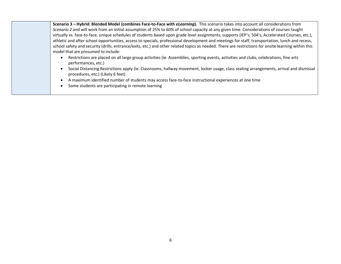| Scenario 3 - Hybrid: Blended Model (combines Face-to-Face with <i>eLearning</i> ). This scenario takes into account all considerations from<br>Scenario 2 and will work from an initial assumption of 25% to 60% of school capacity at any given time. Considerations of courses taught<br>virtually vs. face-to-face, unique schedules of students based upon grade level assignments, supports (IEP's, 504's, Accelerated Courses, etc.),<br>athletic and after school opportunities, access to specials, professional development and meetings for staff, transportation, lunch and recess,<br>school safety and security (drills, entrance/exits, etc.) and other related topics as needed. There are restrictions for onsite learning within this |
|--------------------------------------------------------------------------------------------------------------------------------------------------------------------------------------------------------------------------------------------------------------------------------------------------------------------------------------------------------------------------------------------------------------------------------------------------------------------------------------------------------------------------------------------------------------------------------------------------------------------------------------------------------------------------------------------------------------------------------------------------------|
| model that are presumed to include:<br>Restrictions are placed on all large group activities (ie. Assemblies, sporting events, activities and clubs, celebrations, fine arts<br>performances, etc.)<br>Social Distancing Restrictions apply (ie. Classrooms, hallway movement, locker usage, class seating arrangements, arrival and dismissal<br>procedures, etc.) (Likely 6 feet)<br>A maximum identified number of students may access face-to-face instructional experiences at one time<br>Some students are participating in remote learning                                                                                                                                                                                                     |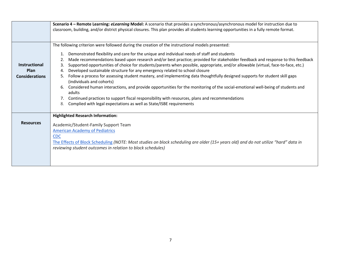|                                                       | Scenario 4 - Remote Learning: elearning Model: A scenario that provides a synchronous/asynchronous model for instruction due to<br>classroom, building, and/or district physical closures. This plan provides all students learning opportunities in a fully remote format.                                                                                                                                                                                                                                                                                                                                                                                                                                                                                                                                                                                                                                                                                                                                                                                                |
|-------------------------------------------------------|----------------------------------------------------------------------------------------------------------------------------------------------------------------------------------------------------------------------------------------------------------------------------------------------------------------------------------------------------------------------------------------------------------------------------------------------------------------------------------------------------------------------------------------------------------------------------------------------------------------------------------------------------------------------------------------------------------------------------------------------------------------------------------------------------------------------------------------------------------------------------------------------------------------------------------------------------------------------------------------------------------------------------------------------------------------------------|
| <b>Instructional</b><br>Plan<br><b>Considerations</b> | The following criterion were followed during the creation of the instructional models presented:<br>Demonstrated flexibility and care for the unique and individual needs of staff and students<br>Made recommendations based upon research and/or best practice; provided for stakeholder feedback and response to this feedback<br>2.<br>Supported opportunities of choice for students/parents when possible, appropriate, and/or allowable (virtual, face-to-face, etc.)<br>3.<br>Developed sustainable structure for any emergency related to school closure<br>4.<br>Follow a process for assessing student mastery, and implementing data thoughtfully designed supports for student skill gaps<br>5.<br>(individuals and cohorts)<br>Considered human interactions, and provide opportunities for the monitoring of the social-emotional well-being of students and<br>6.<br>adults<br>Continued practices to support fiscal responsibility with resources, plans and recommendations<br>Complied with legal expectations as well as State/ISBE requirements<br>8. |
| <b>Resources</b>                                      | <b>Highlighted Research Information:</b><br>Academic/Student-Family Support Team<br><b>American Academy of Pediatrics</b><br><b>CDC</b><br>The Effects of Block Scheduling (NOTE: Most studies on block scheduling are older (15+ years old) and do not utilize "hard" data in<br>reviewing student outcomes in relation to block schedules)                                                                                                                                                                                                                                                                                                                                                                                                                                                                                                                                                                                                                                                                                                                               |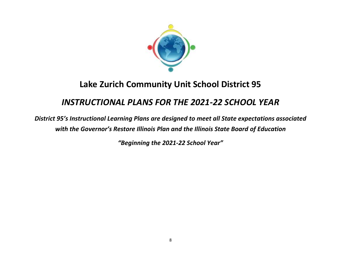

# **Lake Zurich Community Unit School District 95**

## *INSTRUCTIONAL PLANS FOR THE 2021-22 SCHOOL YEAR*

*District 95's Instructional Learning Plans are designed to meet all State expectations associated with the Governor's Restore Illinois Plan and the Illinois State Board of Education* 

*"Beginning the 2021-22 School Year"*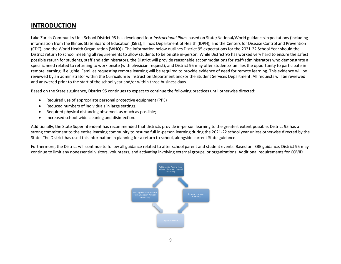### **INTRODUCTION**

Lake Zurich Community Unit School District 95 has developed four *Instructional Plans* based on State/National/World guidance/expectations (including information from the Illinois State Board of Education (ISBE), Illinois Department of Health (IDPH), and the Centers for Disease Control and Prevention (CDC), and the World Health Organization (WHO)). The information below outlines District 95 expectations for the 2021-22 School Year should the District return to school meeting all requirements to allow students to be on site in-person. While District 95 has worked very hard to ensure the safest possible return for students, staff and administrators, the District will provide reasonable accommodations for staff/administrators who demonstrate a specific need related to returning to work onsite (with physician request), and District 95 may offer students/families the opportunity to participate in remote learning, if eligible. Families requesting remote learning will be required to provide evidence of need for remote learning. This evidence will be reviewed by an administrator within the Curriculum & Instruction Department and/or the Student Services Department. All requests will be reviewed and answered prior to the start of the school year and/or within three business days.

Based on the State's guidance, District 95 continues to expect to continue the following practices until otherwise directed:

- Required use of appropriate personal protective equipment (PPE)
- Reduced numbers of individuals in large settings;
- Required physical distancing observed, as much as possible;
- Increased school-wide cleaning and disinfection.

Additionally, the State Superintendent has recommended that districts provide in-person learning to the greatest extent possible. District 95 has a strong commitment to the entire learning community to resume full in-person learning during the 2021-22 school year unless otherwise directed by the State. The District has used this information in planning for a return to school, alongside current State guidance.

Furthermore, the District will continue to follow all guidance related to after school parent and student events. Based on ISBE guidance, District 95 may continue to limit any nonessential visitors, volunteers, and activating involving external groups, or organizations. Additional requirements for COVID

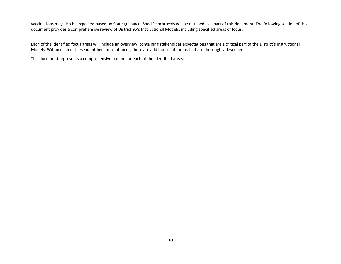vaccinations may also be expected based on State guidance. Specific protocols will be outlined as a part of this document. The following section of this document provides a comprehensive review of District 95's Instructional Models, including specified areas of focus:

Each of the identified focus areas will include an overview, containing stakeholder expectations that are a critical part of the District's Instructional Models. Within each of these identified areas of focus, there are additional sub-areas that are thoroughly described.

This document represents a comprehensive outline for each of the identified areas.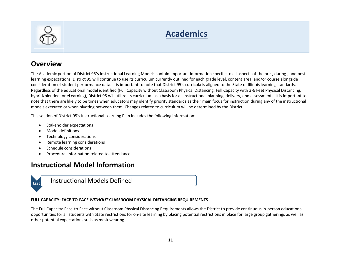

# **Academics**

### **Overview**

The Academic portion of District 95's Instructional Learning Models contain important information specific to all aspects of the pre-, during-, and postlearning expectations. District 95 will continue to use its curriculum currently outlined for each grade level, content area, and/or course alongside consideration of student performance data. It is important to note that District 95's curricula is aligned to the State of Illinois learning standards. Regardless of the educational model identified (Full Capacity without Classroom Physical Distancing, Full Capacity with 3-6 Feet Physical Distancing, hybrid/blended, or eLearning), District 95 will utilize its curriculum as a basis for all instructional planning, delivery, and assessments. It is important to note that there are likely to be times when educators may identify priority standards as their main focus for instruction during any of the instructional models executed or when pivoting between them. Changes related to curriculum will be determined by the District.

This section of District 95's Instructional Learning Plan includes the following information:

- Stakeholder expectations
- Model definitions
- Technology considerations
- Remote learning considerations
- Schedule considerations
- Procedural information related to attendance

### **Instructional Model Information**



#### **FULL CAPACITY: FACE-TO-FACE** *WITHOUT* **CLASSROOM PHYSICAL DISTANCING REQUIREMENTS**

The Full Capacity: Face-to-Face without Classroom Physical Distancing Requirements allows the District to provide continuous in-person educational opportunities for all students with State restrictions for on-site learning by placing potential restrictions in place for large group gatherings as well as other potential expectations such as mask wearing.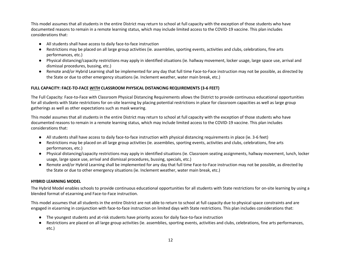This model assumes that all students in the entire District may return to school at full capacity with the exception of those students who have documented reasons to remain in a remote learning status, which may include limited access to the COVID-19 vaccine. This plan includes considerations that:

- All students shall have access to daily face-to-face instruction
- Restrictions may be placed on all large group activities (ie. assemblies, sporting events, activities and clubs, celebrations, fine arts performances, etc.)
- Physical distancing/capacity restrictions may apply in identified situations (ie. hallway movement, locker usage, large space use, arrival and dismissal procedures, bussing, etc.)
- Remote and/or Hybrid Learning shall be implemented for any day that full time Face-to-Face instruction may not be possible, as directed by the State or due to other emergency situations (ie. Inclement weather, water main break, etc.)

#### **FULL CAPACITY: FACE-TO-FACE** *WITH* **CLASSROOM PHYSICAL DISTANCING REQUIREMENTS (3-6 FEET)**

The Full Capacity: Face-to-Face with Classroom Physical Distancing Requirements allows the District to provide continuous educational opportunities for all students with State restrictions for on-site learning by placing potential restrictions in place for classroom capacities as well as large group gatherings as well as other expectations such as mask wearing.

This model assumes that all students in the entire District may return to school at full capacity with the exception of those students who have documented reasons to remain in a remote learning status, which may include limited access to the COVID-19 vaccine. This plan includes considerations that:

- All students shall have access to daily face-to-face instruction with physical distancing requirements in place (ie. 3-6 feet)
- Restrictions may be placed on all large group activities (ie. assemblies, sporting events, activities and clubs, celebrations, fine arts performances, etc.)
- Physical distancing/capacity restrictions may apply in identified situations (ie. Classroom seating assignments, hallway movement, lunch, locker usage, large space use, arrival and dismissal procedures, bussing, specials, etc.)
- Remote and/or Hybrid Learning shall be implemented for any day that full time Face-to-Face instruction may not be possible, as directed by the State or due to other emergency situations (ie. Inclement weather, water main break, etc.)

#### **HYBRID LEARNING MODEL**

The Hybrid Model enables schools to provide continuous educational opportunities for all students with State restrictions for on-site learning by using a blended format of eLearning and Face-to-Face instruction.

This model assumes that all students in the entire District are not able to return to school at full capacity due to physical space constraints and are engaged in eLearning in conjunction with face-to-face instruction on limited days with State restrictions. This plan includes considerations that:

- The youngest students and at-risk students have priority access for daily face-to-face instruction
- Restrictions are placed on all large group activities (ie. assemblies, sporting events, activities and clubs, celebrations, fine arts performances, etc.)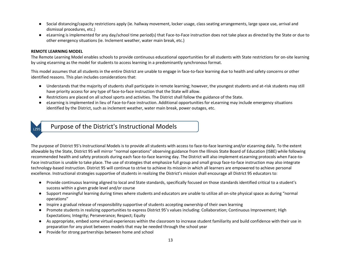- Social distancing/capacity restrictions apply (ie. hallway movement, locker usage, class seating arrangements, large space use, arrival and dismissal procedures, etc.)
- eLearning is implemented for any day/school time period(s) that Face-to-Face instruction does not take place as directed by the State or due to other emergency situations (ie. Inclement weather, water main break, etc.)

#### **REMOTE LEARNING MODEL**

The Remote Learning Model enables schools to provide continuous educational opportunities for all students with State restrictions for on-site learning by using eLearning as the model for students to access learning in a predominantly synchronous format.

This model assumes that all students in the entire District are unable to engage in face-to-face learning due to health and safety concerns or other identified reasons. This plan includes considerations that:

- Understands that the majority of students shall participate in remote learning; however, the youngest students and at-risk students may still have priority access for any type of face-to-face instruction that the State will allow.
- Restrictions are placed on all school sports and activities. The District shall follow the guidance of the State.
- eLearning is implemented in lieu of Face-to-Face instruction. Additional opportunities for eLearning may include emergency situations identified by the District, such as inclement weather, water main break, power outages, etc.



 $L_{L295}$  Purpose of the District's Instructional Models

The purpose of District 95's Instructional Models is to provide all students with access to face-to-face learning and/or eLearning daily. To the extent allowable by the State, District 95 will mirror "normal operations" observing guidance from the Illinois State Board of Education (ISBE) while following recommended health and safety protocols during each face-to-face learning day. The District will also implement eLearning protocols when Face-to-Face instruction is unable to take place. The use of strategies that emphasize full group and small group face-to-face instruction may also integrate technology-based instruction. District 95 will continue to strive to achieve its mission in which all learners are empowered to achieve personal excellence. Instructional strategies supportive of students in realizing the District's mission shall encourage all District 95 educators to:

- Provide continuous learning aligned to local and State standards, specifically focused on those standards identified critical to a student's success within a given grade level and/or course
- Support meaningful learning during times where students and educators are unable to utilize all on-site physical space as during "normal operations"
- Inspire a gradual release of responsibility supportive of students accepting ownership of their own learning
- Promote students in realizing opportunities to express District 95's values including: Collaboration; Continuous Improvement; High Expectations; Integrity; Perseverance; Respect; Equity
- As appropriate, embed some virtual experiences within the classroom to increase student familiarity and build confidence with their use in preparation for any pivot between models that may be needed through the school year
- Provide for strong partnerships between home and school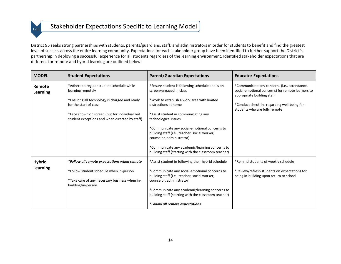### **LZ95** Stakeholder Expectations Specific to Learning Model

District 95 seeks strong partnerships with students, parents/guardians, staff, and administrators in order for students to benefit and find the greatest level of success across the entire learning community. Expectations for each stakeholder group have been identified to further support the District's partnership in deploying a successful experience for all students regardless of the learning environment. Identified stakeholder expectations that are different for remote and hybrid learning are outlined below:

| <b>MODEL</b>              | <b>Student Expectations</b>                                                                                    | <b>Parent/Guardian Expectations</b>                                                                                                                                                                                                   | <b>Educator Expectations</b>                                                                                                    |
|---------------------------|----------------------------------------------------------------------------------------------------------------|---------------------------------------------------------------------------------------------------------------------------------------------------------------------------------------------------------------------------------------|---------------------------------------------------------------------------------------------------------------------------------|
| Remote<br><b>Learning</b> | *Adhere to regular student schedule while<br>learning remotely                                                 | *Ensure student is following schedule and is on-<br>screen/engaged in class                                                                                                                                                           | *Communicate any concerns (i.e., attendance,<br>social-emotional concerns) for remote learners to<br>appropriate building staff |
|                           | *Ensuring all technology is charged and ready<br>for the start of class                                        | *Work to establish a work area with limited<br>distractions at home                                                                                                                                                                   | *Conduct check-ins regarding well-being for<br>students who are fully remote                                                    |
|                           | *Face shown on screen (but for individualized<br>student exceptions and when directed by staff)                | *Assist student in communicating any<br>technological issues                                                                                                                                                                          |                                                                                                                                 |
|                           |                                                                                                                | *Communicate any social-emotional concerns to<br>building staff (i.e., teacher, social worker,<br>counselor, administrator)                                                                                                           |                                                                                                                                 |
|                           |                                                                                                                | *Communicate any academic/learning concerns to<br>building staff (starting with the classroom teacher)                                                                                                                                |                                                                                                                                 |
| <b>Hybrid</b>             | *Follow all remote expectations when remote                                                                    | *Assist student in following their hybrid schedule                                                                                                                                                                                    | *Remind students of weekly schedule                                                                                             |
| <b>Learning</b>           | *Follow student schedule when in-person<br>*Take care of any necessary business when in-<br>building/in-person | *Communicate any social-emotional concerns to<br>building staff (i.e., teacher, social worker,<br>counselor, administrator)<br>*Communicate any academic/learning concerns to<br>building staff (starting with the classroom teacher) | *Review/refresh students on expectations for<br>being in-building upon return to school                                         |
|                           |                                                                                                                | *Follow all remote expectations                                                                                                                                                                                                       |                                                                                                                                 |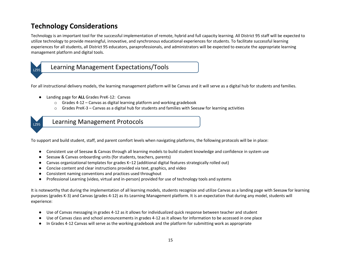### **Technology Considerations**

Technology is an important tool for the successful implementation of remote, hybrid and full capacity learning. All District 95 staff will be expected to utilize technology to provide meaningful, innovative, and synchronous educational experiences for students. To facilitate successful learning experiences for all students, all District 95 educators, paraprofessionals, and administrators will be expected to execute the appropriate learning management platform and digital tools.



### $L_{295}$  Learning Management Expectations/Tools

For all instructional delivery models, the learning management platform will be Canvas and it will serve as a digital hub for students and families.

- Landing page for **ALL** Grades PreK-12: Canvas
	- $\circ$  Grades 4-12 Canvas as digital learning platform and working gradebook
	- $\circ$  Grades PreK-3 Canvas as a digital hub for students and families with Seesaw for learning activities



Learning Management Protocols

To support and build student, staff, and parent comfort levels when navigating platforms, the following protocols will be in place:

- Consistent use of Seesaw & Canvas through all learning models to build student knowledge and confidence in system use
- Seesaw & Canvas onboarding units (for students, teachers, parents)
- Canvas organizational templates for grades K–12 (additional digital features strategically rolled out)
- Concise content and clear instructions provided via text, graphics, and video
- Consistent naming conventions and practices used throughout
- Professional Learning (video, virtual and in-person) provided for use of technology tools and systems

It is noteworthy that during the implementation of all learning models, students recognize and utilize Canvas as a landing page with Seesaw for learning purposes (grades K-3) and Canvas (grades 4-12) as its Learning Management platform. It is an expectation that during any model, students will experience:

- Use of Canvas messaging in grades 4-12 as it allows for individualized quick response between teacher and student
- Use of Canvas class and school announcements in grades 4-12 as it allows for information to be accessed in one place
- In Grades 4-12 Canvas will serve as the working gradebook and the platform for submitting work as appropriate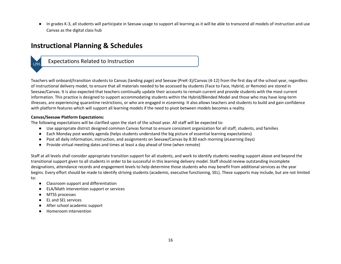● In grades K-3, all students will participate in Seesaw usage to support all learning as it will be able to transcend all models of instruction and use Canvas as the digital class hub

### **Instructional Planning & Schedules**

### **Expectations Related to Instruction**

Teachers will onboard/transition students to Canvas (landing page) and Seesaw (PreK-3)/Canvas (4-12) from the first day of the school year, regardless of instructional delivery model, to ensure that all materials needed to be accessed by students (Face to Face, Hybrid, or Remote) are stored in Seesaw/Canvas. It is also expected that teachers continually update their accounts to remain current and provide students with the most current information. This practice is designed to support accommodating students within the Hybrid/Blended Model and those who may have long-term illnesses, are experiencing quarantine restrictions, or who are engaged in *eLearning.* It also allows teachers and students to build and gain confidence with platform features which will support all learning models if the need to pivot between models becomes a reality.

#### **Canvas/Seesaw Platform Expectations:**

The following expectations will be clarified upon the start of the school year. All staff will be expected to:

- Use appropriate district designed common Canvas format to ensure consistent organization for all staff, students, and families
- Each Monday post weekly agenda (helps students understand the big picture of essential learning expectations)
- Post all daily information, instruction, and assignments on Seesaw/Canvas by 8:30 each morning (eLearning Days)
- Provide virtual meeting dates and times at least a day ahead of time (when remote)

Staff at all levels shall consider appropriate transition support for all students, and work to identify students needing support above and beyond the transitional support given to all students in order to be successful in this learning delivery model. Staff should review outstanding incomplete designations, attendance records and engagement levels to help determine those students who may benefit from additional services as the year begins. Every effort should be made to identify striving students (academic, executive functioning, SEL). These supports may include, but are not limited to:

- Classroom support and differentiation
- ELA/Math intervention support or services
- MTSS processes
- EL and SEL services
- After school academic support
- Homeroom intervention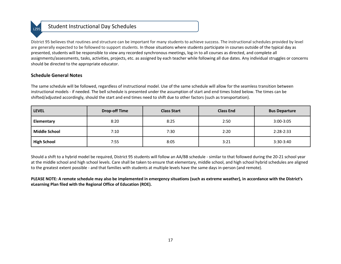### Student Instructional Day Schedules

District 95 believes that routines and structure can be important for many students to achieve success. The instructional schedules provided by level are generally expected to be followed to support students. In those situations where students participate in courses outside of the typical day as presented, students will be responsible to view any recorded synchronous meetings, log-in to all courses as directed, and complete all assignments/assessments, tasks, activities, projects, etc. as assigned by each teacher while following all due dates. Any individual struggles or concerns should be directed to the appropriate educator.

#### **Schedule General Notes**

The same schedule will be followed, regardless of instructional model. Use of the same schedule will allow for the seamless transition between instructional models - if needed. The bell schedule is presented under the assumption of start and end times listed below. The times can be shifted/adjusted accordingly, should the start and end times need to shift due to other factors (such as transportation).

| <b>LEVEL</b>         | <b>Drop-off Time</b> | <b>Class Start</b> | <b>Class End</b> | <b>Bus Departure</b> |
|----------------------|----------------------|--------------------|------------------|----------------------|
| Elementary           | 8:20                 | 8:25               | 2:50             | $3:00 - 3:05$        |
| <b>Middle School</b> | 7:10                 | 7:30               | 2:20             | $2:28-2:33$          |
| <b>High School</b>   | 7:55                 | 8:05               | 3:21             | $3:30-3:40$          |

Should a shift to a hybrid model be required, District 95 students will follow an AA/BB schedule - similar to that followed during the 20-21 school year at the middle school and high school levels. Care shall be taken to ensure that elementary, middle school, and high school hybrid schedules are aligned to the greatest extent possible - and that families with students at multiple levels have the same days in-person (and remote).

**PLEASE NOTE: A remote schedule may also be implemented in emergency situations (such as extreme weather), in accordance with the District's eLearning Plan filed with the Regional Office of Education (ROE).**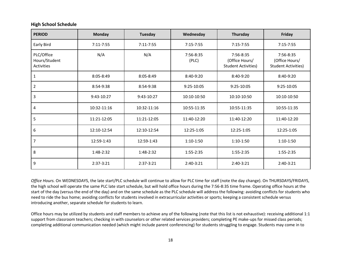#### **High School Schedule**

| <b>PERIOD</b>                             | <b>Monday</b> | Tuesday       | Wednesday          | Thursday                                                  | Friday                                                    |
|-------------------------------------------|---------------|---------------|--------------------|-----------------------------------------------------------|-----------------------------------------------------------|
| Early Bird                                | $7:11 - 7:55$ | $7:11 - 7:55$ | $7:15 - 7:55$      | $7:15 - 7:55$                                             | $7:15 - 7:55$                                             |
| PLC/Office<br>Hours/Student<br>Activities | N/A           | N/A           | 7:56-8:35<br>(PLC) | 7:56-8:35<br>(Office Hours/<br><b>Student Activities)</b> | 7:56-8:35<br>(Office Hours/<br><b>Student Activities)</b> |
| 1                                         | 8:05-8:49     | $8:05 - 8:49$ | 8:40-9:20          | $8:40-9:20$                                               | 8:40-9:20                                                 |
| $\overline{2}$                            | 8:54-9:38     | 8:54-9:38     | 9:25-10:05         | 9:25-10:05                                                | 9:25-10:05                                                |
| $\mathbf{3}$                              | $9:43-10:27$  | 9:43-10:27    | 10:10-10:50        | 10:10-10:50                                               | 10:10-10:50                                               |
| $\overline{4}$                            | 10:32-11:16   | 10:32-11:16   | 10:55-11:35        | 10:55-11:35                                               | 10:55-11:35                                               |
| 5                                         | 11:21-12:05   | 11:21-12:05   | 11:40-12:20        | 11:40-12:20                                               | 11:40-12:20                                               |
| $\boldsymbol{6}$                          | 12:10-12:54   | 12:10-12:54   | 12:25-1:05         | 12:25-1:05                                                | 12:25-1:05                                                |
| $\overline{7}$                            | 12:59-1:43    | 12:59-1:43    | $1:10-1:50$        | $1:10-1:50$                                               | $1:10-1:50$                                               |
| $\bf 8$                                   | 1:48-2:32     | 1:48-2:32     | 1:55-2:35          | 1:55-2:35                                                 | 1:55-2:35                                                 |
| 9                                         | 2:37-3:21     | $2:37-3:21$   | 2:40-3:21          | 2:40-3:21                                                 | 2:40-3:21                                                 |

*Office Hours.* On WEDNESDAYS, the late start/PLC schedule will continue to allow for PLC time for staff (note the day change). On THURSDAYS/FRIDAYS, the high school will operate the same PLC late start schedule, but will hold office hours during the 7:56-8:35 time frame. Operating office hours at the start of the day (versus the end of the day) and on the same schedule as the PLC schedule will address the following: avoiding conflicts for students who need to ride the bus home; avoiding conflicts for students involved in extracurricular activities or sports; keeping a consistent schedule versus introducing another, separate schedule for students to learn.

Office hours may be utilized by students and staff members to achieve any of the following (note that this list is not exhaustive): receiving additional 1:1 support from classroom teachers; checking in with counselors or other related services providers; completing PE make-ups for missed class periods; completing additional communication needed (which might include parent conferencing) for students struggling to engage. Students may come in to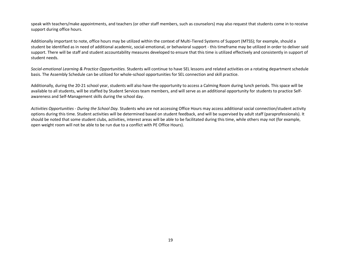speak with teachers/make appointments, and teachers (or other staff members, such as counselors) may also request that students come in to receive support during office hours.

Additionally important to note, office hours may be utilized within the context of Multi-Tiered Systems of Support (MTSS); for example, should a student be identified as in need of additional academic, social-emotional, or behavioral support - this timeframe may be utilized in order to deliver said support. There will be staff and student accountability measures developed to ensure that this time is utilized effectively and consistently in support of student needs.

*Social-emotional Learning & Practice Opportunities.* Students will continue to have SEL lessons and related activities on a rotating department schedule basis. The Assembly Schedule can be utilized for whole-school opportunities for SEL connection and skill practice.

Additionally, during the 20-21 school year, students will also have the opportunity to access a Calming Room during lunch periods. This space will be available to all students, will be staffed by Student Services team members, and will serve as an additional opportunity for students to practice Selfawareness and Self-Management skills during the school day.

*Activities Opportunities - During the School Day.* Students who are not accessing Office Hours may access additional social connection/student activity options during this time. Student activities will be determined based on student feedback, and will be supervised by adult staff (paraprofessionals). It should be noted that some student clubs, activities, interest areas will be able to be facilitated during this time, while others may not (for example, open weight room will not be able to be run due to a conflict with PE Office Hours).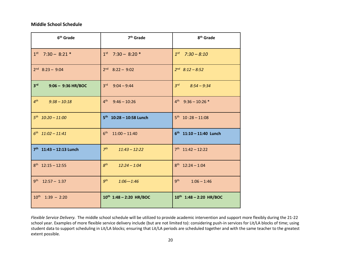#### **Middle School Schedule**

| 6 <sup>th</sup> Grade                   | 7 <sup>th</sup> Grade              | 8 <sup>th</sup> Grade            |
|-----------------------------------------|------------------------------------|----------------------------------|
| $1st$ 7:30 - 8:21 *                     | $1st$ 7:30 - 8:20 $*$              | $1^{st}$ 7:30 - 8:10             |
| $2nd$ 8:23 - 9:04                       | $2nd$ 8:22 - 9:02                  | $2^{nd}$ 8:12 - 8:52             |
| 3 <sup>rd</sup><br>$9:06 - 9:36$ HR/BOC | $3rd$ 9:04 - 9:44                  | $3^{rd}$<br>$8:54 - 9:34$        |
| $4^{th}$<br>$9:38 - 10:18$              | 4 <sup>th</sup><br>$9:46 - 10:26$  | $4^{th}$ 9:36 - 10:26 *          |
| $5^{th}$ $10:20 - 11:00$                | $5^{th}$ 10:28 - 10:58 Lunch       | $5^{th}$ 10 :28 - 11:08          |
| $6^{th}$ $11:02 - 11:41$                | $6^{th}$ 11:00 - 11:40             | $6^{th}$ 11:10 - 11:40 Lunch     |
| $7th$ 11:43 - 12:13 Lunch               | 7 <sup>th</sup><br>$11:43 - 12:22$ | $7th$ 11:42 - 12:22              |
| $8th$ 12:15 - 12:55                     | 8 <sup>th</sup><br>$12:24 - 1:04$  | $8th$ 12:24 - 1:04               |
| $9^{th}$ 12:57 - 1:37                   | $9^{th}$<br>$1:06 - 1:46$          | 9 <sup>th</sup><br>$1:06 - 1:46$ |
| $10^{th}$ 1:39 - 2:20                   | $10^{th}$ 1:48 - 2:20 HR/BOC       | 10th 1:48 - 2:20 HR/BOC          |

*Flexible Service Delivery.* The middle school schedule will be utilized to provide academic intervention and support more flexibly during the 21-22 school year. Examples of more flexible service delivery include (but are not limited to): considering push-in services for Lit/LA blocks of time; using student data to support scheduling in Lit/LA blocks; ensuring that Lit/LA periods are scheduled together and with the same teacher to the greatest extent possible.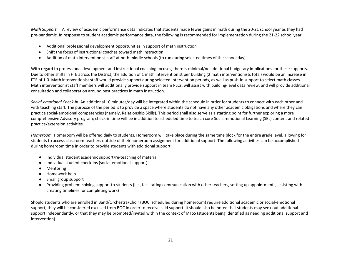*Math Support.* A review of academic performance data indicates that students made fewer gains in math during the 20-21 school year as they had pre-pandemic. In response to student academic performance data, the following is recommended for implementation during the 21-22 school year:

- Additional professional development opportunities in support of math instruction
- Shift the focus of instructional coaches toward math instruction
- Addition of math interventionist staff at both middle schools (to run during selected times of the school day)

With regard to professional development and instructional coaching focuses, there is minimal/no additional budgetary implications for these supports. Due to other shifts in FTE across the District, the addition of 1 math interventionist per building (2 math interventionists total) would be an increase in FTE of 1.0. Math interventionist staff would provide support during selected intervention periods, as well as push-in support to select math classes. Math interventionist staff members will additionally provide support in team PLCs, will assist with building-level data review, and will provide additional consultation and collaboration around best practices in math instruction.

*Social-emotional Check-in.* An additional 10 minutes/day will be integrated within the schedule in order for students to connect with each other and with teaching staff. The purpose of the period is to provide a space where students do not have any other academic obligations and where they can practice social-emotional competencies (namely, Relationship Skills). This period shall also serve as a starting point for further exploring a more comprehensive Advisory program; check-in time will be in addition to scheduled time to teach core Social-emotional Learning (SEL) content and related practice/extension activities.

*Homeroom.* Homeroom will be offered daily to students. Homeroom will take place during the same time block for the entire grade level, allowing for students to access classroom teachers outside of their homeroom assignment for additional support. The following activities can be accomplished during homeroom time in order to provide students with additional support:

- Individual student academic support/re-teaching of material
- Individual student check-ins (social-emotional support)
- Mentoring
- Homework help
- Small group support
- Providing problem-solving support to students (i.e., facilitating communication with other teachers, setting up appointments, assisting with creating timelines for completing work)

Should students who are enrolled in Band/Orchestra/Choir (BOC, scheduled during homeroom) require additional academic or social-emotional support, they will be considered excused from BOC in order to receive said support. It should also be noted that students may seek out additional support independently, or that they may be prompted/invited within the context of MTSS (students being identified as needing additional support and intervention).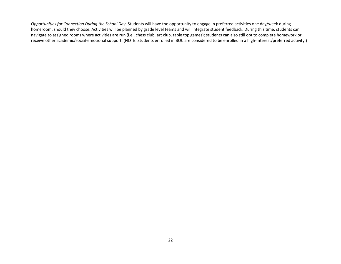*Opportunities for Connection During the School Day.* Students will have the opportunity to engage in preferred activities one day/week during homeroom, should they choose. Activities will be planned by grade level teams and will integrate student feedback. During this time, students can navigate to assigned rooms where activities are run (i.e., chess club, art club, table top games); students can also still opt to complete homework or receive other academic/social-emotional support. (NOTE: Students enrolled in BOC are considered to be enrolled in a high-interest/preferred activity.)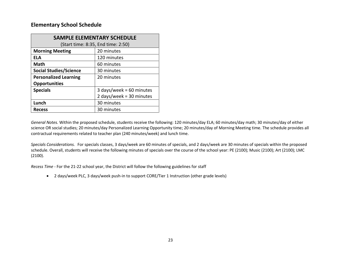#### **Elementary School Schedule**

| <b>SAMPLE ELEMENTARY SCHEDULE</b>           |                                    |  |
|---------------------------------------------|------------------------------------|--|
|                                             | (Start time: 8:35, End time: 2:50) |  |
| <b>Morning Meeting</b>                      | 20 minutes                         |  |
| <b>ELA</b>                                  | 120 minutes                        |  |
| <b>Math</b>                                 | 60 minutes                         |  |
| <b>Social Studies/Science</b><br>30 minutes |                                    |  |
| <b>Personalized Learning</b><br>20 minutes  |                                    |  |
| <b>Opportunities</b>                        |                                    |  |
| <b>Specials</b>                             | 3 days/week = $60$ minutes         |  |
|                                             | 2 days/week = $30$ minutes         |  |
| Lunch                                       | 30 minutes                         |  |
| <b>Recess</b>                               | 30 minutes                         |  |

*General Notes.* Within the proposed schedule, students receive the following: 120 minutes/day ELA; 60 minutes/day math; 30 minutes/day of either science OR social studies; 20 minutes/day Personalized Learning Opportunity time; 20 minutes/day of Morning Meeting time. The schedule provides all contractual requirements related to teacher plan (240 minutes/week) and lunch time.

*Specials Considerations.* For specials classes, 3 days/week are 60 minutes of specials, and 2 days/week are 30 minutes of specials within the proposed schedule. Overall, students will receive the following minutes of specials over the course of the school year: PE (2100); Music (2100); Art (2100); LMC (2100).

*Recess Time -* For the 21-22 school year, the District will follow the following guidelines for staff

• 2 days/week PLC, 3 days/week push-in to support CORE/Tier 1 Instruction (other grade levels)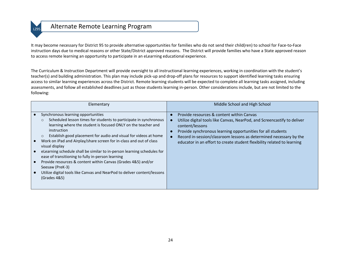### LZ95 Alternate Remote Learning Program

It may become necessary for District 95 to provide alternative opportunities for families who do not send their child(ren) to school for Face-to-Face instruction days due to medical reasons or other State/District approved reasons. The District will provide families who have a State approved reason to access remote learning an opportunity to participate in an eLearning educational experience.

The Curriculum & Instruction Department will provide oversight to all instructional learning experiences, working in coordination with the student's teacher(s) and building administration. This plan may include pick-up and drop-off plans for resources to support identified learning tasks ensuring access to similar learning experiences across the District. Remote learning students will be expected to complete all learning tasks assigned, including assessments, and follow all established deadlines just as those students learning in-person. Other considerations include, but are not limited to the following:

| Elementary                                                                                                                                                                                                                                                                                                                                                                                                                                                                                                                                                                                                                                                                                 | Middle School and High School                                                                                                                                                                                                                                                                                                                            |
|--------------------------------------------------------------------------------------------------------------------------------------------------------------------------------------------------------------------------------------------------------------------------------------------------------------------------------------------------------------------------------------------------------------------------------------------------------------------------------------------------------------------------------------------------------------------------------------------------------------------------------------------------------------------------------------------|----------------------------------------------------------------------------------------------------------------------------------------------------------------------------------------------------------------------------------------------------------------------------------------------------------------------------------------------------------|
| Synchronous learning opportunities<br>Scheduled lesson times for students to participate in synchronous<br>$\circ$<br>learning where the student is focused ONLY on the teacher and<br>instruction<br>Establish good placement for audio and visual for videos at home<br>$\circ$<br>Work on iPad and Airplay/share screen for in-class and out of class<br>visual display<br>eLearning schedule shall be similar to in-person learning schedules for<br>ease of transitioning to fully in-person learning<br>Provide resources & content within Canvas (Grades 4&5) and/or<br>Seesaw (PreK-3)<br>Utilize digital tools like Canvas and NearPod to deliver content/lessons<br>(Grades 4&5) | Provide resources & content within Canvas<br>Utilize digital tools like Canvas, NearPod, and Screencastify to deliver<br>content/lessons<br>Provide synchronous learning opportunities for all students<br>Record in-session/classroom lessons as determined necessary by the<br>educator in an effort to create student flexibility related to learning |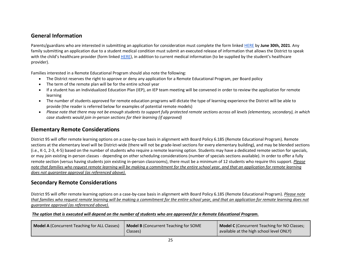#### **General Information**

Parents/guardians who are interested in submitting an application for consideration must complete the form linked [HERE](https://docs.google.com/forms/d/e/1FAIpQLSd0cZCN74mTbpBq_i7iUE-At_Eb4TlYqLIx4RxtFOqRWeeotQ/viewform) by **June 30th, 2021**. Any family submitting an application due to a student medical condition must submit an executed release of information that allows the District to speak with the child's healthcare provider (form linked [HERE](https://drive.google.com/file/d/10veRmsEDj_Db2bPyxYO5LTUr90sM3wxs/view?usp=sharing)), in addition to current medical information (to be supplied by the student's healthcare provider).

Families interested in a Remote Educational Program should also note the following:

- The District reserves the right to approve or deny any application for a Remote Educational Program, per Board policy
- The term of the remote plan will be for the entire school year
- If a student has an Individualized Education Plan (IEP), an IEP team meeting will be convened in order to review the application for remote learning
- The number of students approved for remote education programs will dictate the type of learning experience the District will be able to provide (the reader is referred below for examples of potential remote models)
- *Please note that there may not be enough students to support fully protected remote sections across all levels (elementary, secondary), in which case students would join in-person sections for their learning (if approved)*

#### **Elementary Remote Considerations**

District 95 will offer remote learning options on a case-by-case basis in alignment with Board Policy 6.185 (Remote Educational Program). Remote sections at the elementary level will be District-wide (there will not be grade-level sections for every elementary building), and may be blended sections (i.e., K-1, 2-3, 4-5) based on the number of students who require a remote learning option. Students may have a dedicated remote section for specials, or may join existing in-person classes - depending on other scheduling considerations (number of specials sections available). In order to offer a fully remote section (versus having students join existing in-person classrooms), there must be a minimum of 12 students who require this support. *Please note that families who request remote learning will be making a commitment for the entire school year, and that an application for remote learning does not guarantee approval (as referenced above).*

#### **Secondary Remote Considerations**

District 95 will offer remote learning options on a case-by-case basis in alignment with Board Policy 6.185 (Remote Educational Program). *Please note that families who request remote learning will be making a commitment for the entire school year, and that an application for remote learning does not guarantee approval (as referenced above).*

#### *The option that is executed will depend on the number of students who are approved for a Remote Educational Program.*

| <b>Model A (Concurrent Teaching for ALL Classes)</b> | <b>Model B</b> (Concurrent Teaching for SOME<br>Classes) | <b>Model C</b> (Concurrent Teaching for NO Classes;<br>available at the high school level ONLY) |
|------------------------------------------------------|----------------------------------------------------------|-------------------------------------------------------------------------------------------------|
|------------------------------------------------------|----------------------------------------------------------|-------------------------------------------------------------------------------------------------|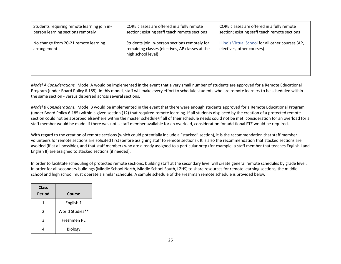| Students requiring remote learning join in-         | CORE classes are offered in a fully remote                                                                             | CORE classes are offered in a fully remote                                      |
|-----------------------------------------------------|------------------------------------------------------------------------------------------------------------------------|---------------------------------------------------------------------------------|
| person learning sections remotely                   | section; existing staff teach remote sections                                                                          | section; existing staff teach remote sections                                   |
| No change from 20-21 remote learning<br>arrangement | Students join in-person sections remotely for<br>remaining classes (electives, AP classes at the<br>high school level) | Illinois Virtual School for all other courses (AP,<br>electives, other courses) |

*Model A Considerations.* Model A would be implemented in the event that a very small number of students are approved for a Remote Educational Program (under Board Policy 6.185). In this model, staff will make every effort to schedule students who are remote learners to be scheduled within the same section - versus dispersed across several sections.

*Model B Considerations.* Model B would be implemented in the event that there were enough students approved for a Remote Educational Program (under Board Policy 6.185) within a given section (12) that required remote learning. If all students displaced by the creation of a protected remote section could not be absorbed elsewhere within the master schedule/if all of their schedule needs could not be met, consideration for an overload for a staff member would be made. If there was not a staff member available for an overload, consideration for additional FTE would be required.

With regard to the creation of remote sections (which could potentially include a "stacked" section), it is the recommendation that staff member volunteers for remote sections are solicited first (before assigning staff to remote sections). It is also the recommendation that stacked sections are avoided (if at all possible), and that staff members who are already assigned to a particular prep (for example, a staff member that teaches English I and English II) are assigned to stacked sections (if needed).

In order to facilitate scheduling of protected remote sections, building staff at the secondary level will create general remote schedules by grade level. In order for all secondary buildings (Middle School North, Middle School South, LZHS) to share resources for remote learning sections, the middle school and high school must operate a similar schedule. A sample schedule of the Freshman remote schedule is provided below:

| <b>Class</b><br><b>Period</b> | Course          |
|-------------------------------|-----------------|
| 1                             | English 1       |
| $\mathcal{P}$                 | World Studies** |
| ੨                             | Freshmen PE     |
|                               | <b>Biology</b>  |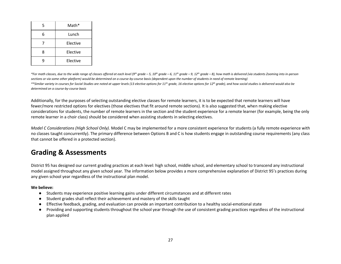| 5 | Math*    |
|---|----------|
| հ | Lunch    |
|   | Elective |
| Ջ | Elective |
|   | Elective |

\*For math classes, due to the wide range of classes offered at each level (9<sup>th</sup> grade - 5, 10<sup>th</sup> grade - 6, 11<sup>th</sup> grade - 9, 12<sup>th</sup> grade - 8), how math is delivered (via students Zooming into in-person *sections or via some other platform) would be determined on a course-by-course basis (dependent upon the number of students in need of remote learning)* \*\*Similar variety in courses for Social Studies are noted at upper levels (13 elective options for 11<sup>th</sup> grade, 16 elective options for 12<sup>th</sup> grade), and how social studies is delivered would also be *determined on a course-by-course basis*

Additionally, for the purposes of selecting outstanding elective classes for remote learners, it is to be expected that remote learners will have fewer/more restricted options for electives (those electives that fit around remote sections). It is also suggested that, when making elective considerations for students, the number of remote learners in the section and the student experience for a remote learner (for example, being the only remote learner in a choir class) should be considered when assisting students in selecting electives.

*Model C Considerations (High School Only).* Model C may be implemented for a more consistent experience for students (a fully remote experience with no classes taught concurrently). The primary difference between Options B and C is how students engage in outstanding course requirements (any class that cannot be offered in a protected section).

### **Grading & Assessments**

District 95 has designed our current grading practices at each level: high school, middle school, and elementary school to transcend any instructional model assigned throughout any given school year. The information below provides a more comprehensive explanation of District 95's practices during any given school year regardless of the instructional plan model.

#### **We believe:**

- Students may experience positive learning gains under different circumstances and at different rates
- Student grades shall reflect their achievement and mastery of the skills taught
- Effective feedback, grading, and evaluation can provide an important contribution to a healthy social-emotional state
- Providing and supporting students throughout the school year through the use of consistent grading practices regardless of the instructional plan applied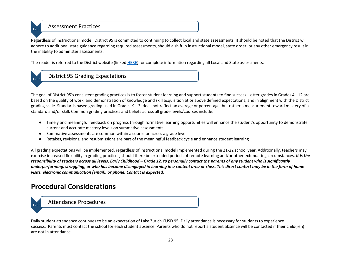

### L<sub>Z95</sub> Assessment Practices

Regardless of instructional model, District 95 is committed to continuing to collect local and state assessments. It should be noted that the District will adhere to additional state guidance regarding required assessments, should a shift in instructional model, state order, or any other emergency result in the inability to administer assessments.

The reader is referred to the District website (linked [HERE\)](https://www.lz95.org/departments/curriculum-instruction) for complete information regarding all Local and State assessments.

### LZ95 District 95 Grading Expectations

The goal of District 95's consistent grading practices is to foster student learning and support students to find success. Letter grades in Grades 4 - 12 are based on the quality of work, and demonstration of knowledge and skill acquisition at or above defined expectations, and in alignment with the District grading scale. Standards based grading used in Grades K – 3, does not reflect an average or percentage, but rather a measurement toward mastery of a standard and/or skill. Common grading practices and beliefs across all grade levels/courses include:

- Timely and meaningful feedback on progress through formative learning opportunities will enhance the student's opportunity to demonstrate current and accurate mastery levels on summative assessments
- Summative assessments are common within a course or across a grade level
- Retakes, revisions, and resubmissions are part of the meaningful feedback cycle and enhance student learning

All grading expectations will be implemented, regardless of instructional model implemented during the 21-22 school year. Additionally, teachers may exercise increased flexibility in grading practices, should there be extended periods of remote learning and/or other extenuating circumstances. *It is the*  responsibility of teachers across all levels, Early Childhood – Grade 12, to personally contact the parents of any student who is significantly *underperforming, struggling, or who has become disengaged in learning in a content area or class. This direct contact may be in the form of home visits, electronic communication (email), or phone. Contact is expected.*

### **Procedural Considerations**

LZ95 Attendance Procedures

Daily student attendance continues to be an expectation of Lake Zurich CUSD 95. Daily attendance is necessary for students to experience success. Parents must contact the school for each student absence. Parents who do not report a student absence will be contacted if their child(ren) are not in attendance.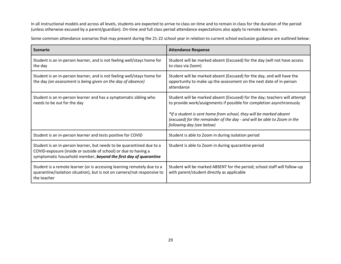In all instructional models and across all levels, students are expected to arrive to class on time and to remain in class for the duration of the period (unless otherwise excused by a parent/guardian). On-time and full class period attendance expectations also apply to remote learners.

Some common attendance scenarios that may present during the 21-22 school year in relation to current school exclusion guidance are outlined below:

| <b>Scenario</b>                                                                                                                                                                                              | <b>Attendance Response</b>                                                                                                                                                                                                                                                                                                         |
|--------------------------------------------------------------------------------------------------------------------------------------------------------------------------------------------------------------|------------------------------------------------------------------------------------------------------------------------------------------------------------------------------------------------------------------------------------------------------------------------------------------------------------------------------------|
| Student is an in-person learner, and is not feeling well/stays home for<br>the day                                                                                                                           | Student will be marked absent (Excused) for the day (will not have access<br>to class via Zoom)                                                                                                                                                                                                                                    |
| Student is an in-person learner, and is not feeling well/stays home for<br>the day (an assessment is being given on the day of absence)                                                                      | Student will be marked absent (Excused) for the day, and will have the<br>opportunity to make up the assessment on the next date of in-person<br>attendance                                                                                                                                                                        |
| Student is an in-person learner and has a symptomatic sibling who<br>needs to be out for the day                                                                                                             | Student will be marked absent (Excused) for the day; teachers will attempt<br>to provide work/assignments if possible for completion asynchronously<br>*If a student is sent home from school, they will be marked absent<br>(excused) for the remainder of the day - and will be able to Zoom in the<br>following day (see below) |
| Student is an in-person learner and tests positive for COVID                                                                                                                                                 | Student is able to Zoom in during isolation period                                                                                                                                                                                                                                                                                 |
| Student is an in-person learner, but needs to be quarantined due to a<br>COVID-exposure (inside or outside of school) or due to having a<br>symptomatic household member, beyond the first day of quarantine | Student is able to Zoom in during quarantine period                                                                                                                                                                                                                                                                                |
| Student is a remote learner (or is accessing learning remotely due to a<br>quarantine/isolation situation), but is not on camera/not responsive to<br>the teacher                                            | Student will be marked ABSENT for the period; school staff will follow-up<br>with parent/student directly as applicable                                                                                                                                                                                                            |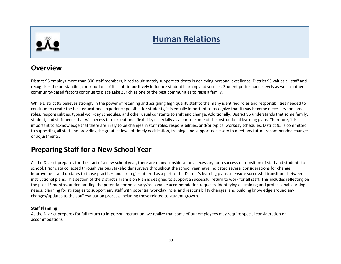

# **Human Relations**

### **Overview**

District 95 employs more than 800 staff members, hired to ultimately support students in achieving personal excellence. District 95 values all staff and recognizes the outstanding contributions of its staff to positively influence student learning and success. Student performance levels as well as other community-based factors continue to place Lake Zurich as one of the best communities to raise a family.

While District 95 believes strongly in the power of retaining and assigning high quality staff to the many identified roles and responsibilities needed to continue to create the best educational experience possible for students, it is equally important to recognize that it may become necessary for some roles, responsibilities, typical workday schedules, and other usual constants to shift and change. Additionally, District 95 understands that some family, student, and staff needs that will necessitate exceptional flexibility especially as a part of some of the instructional learning plans. Therefore, it is important to acknowledge that there are likely to be changes in staff roles, responsibilities, and/or typical workday schedules. District 95 is committed to supporting all staff and providing the greatest level of timely notification, training, and support necessary to meet any future recommended changes or adjustments.

### **Preparing Staff for a New School Year**

As the District prepares for the start of a new school year, there are many considerations necessary for a successful transition of staff and students to school. Prior data collected through various stakeholder surveys throughout the school year have indicated several considerations for change, improvement and updates to those practices and strategies utilized as a part of the District's learning plans to ensure successful transitions between instructional plans. This section of the District's Transition Plan is designed to support a successful return to work for all staff. This includes reflecting on the past 15 months, understanding the potential for necessary/reasonable accommodation requests, identifying all training and professional learning needs, planning for strategies to support any staff with potential workday, role, and responsibility changes, and building knowledge around any changes/updates to the staff evaluation process, including those related to student growth.

#### **Staff Planning**

As the District prepares for full return to in-person instruction, we realize that some of our employees may require special consideration or accommodations.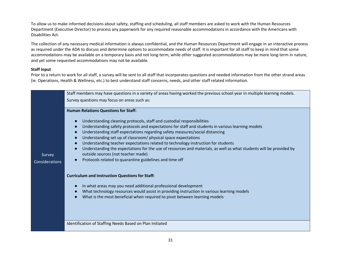To allow us to make informed decisions about safety, staffing and scheduling, all staff members are asked to work with the Human Resources Department (Executive Director) to process any paperwork for any required reasonable accommodations in accordance with the Americans with Disabilities Act.

The collection of any necessary medical information is always confidential, and the Human Resources Department will engage in an interactive process as required under the ADA to discuss and determine options to accommodate needs of staff. It is important for all staff to keep in mind that some accommodations may be available on a temporary basis and not long-term, while other suggested accommodations may be more long-term in nature, and yet some requested accommodations may not be available.

#### **Staff Input**

Prior to a return to work for all staff, a survey will be sent to all staff that incorporates questions and needed information from the other strand areas (ie. Operations, Health & Wellness, etc.) to best understand staff concerns, needs, and other staff related information.

|                          | Staff members may have questions in a variety of areas having worked the previous school year in multiple learning models.                                                                                                                                                                                                                                                                                                                                                                                                                                                                                                                                                                                |  |  |
|--------------------------|-----------------------------------------------------------------------------------------------------------------------------------------------------------------------------------------------------------------------------------------------------------------------------------------------------------------------------------------------------------------------------------------------------------------------------------------------------------------------------------------------------------------------------------------------------------------------------------------------------------------------------------------------------------------------------------------------------------|--|--|
|                          | Survey questions may focus on areas such as:                                                                                                                                                                                                                                                                                                                                                                                                                                                                                                                                                                                                                                                              |  |  |
|                          | <b>Human Relations Questions for Staff:</b>                                                                                                                                                                                                                                                                                                                                                                                                                                                                                                                                                                                                                                                               |  |  |
| Survey<br>Considerations | Understanding cleaning protocols, staff and custodial responsibilities<br>Understanding safety protocols and expectations for staff and students in various learning models<br>$\bullet$<br>Understanding staff expectations regarding safety measures/social distancing<br>$\overline{ }$<br>Understanding set up of classroom/ physical space expectations<br>$\epsilon$<br>Understanding teacher expectations related to technology instruction for students<br>$\overline{ }$<br>Understanding the expectations for the use of resources and materials, as well as what students will be provided by<br>outside sources (not teacher made)<br>Protocols related to quarantine guidelines and time off |  |  |
|                          | <b>Curriculum and Instruction Questions for Staff:</b>                                                                                                                                                                                                                                                                                                                                                                                                                                                                                                                                                                                                                                                    |  |  |
|                          | In what areas may you need additional professional development<br>What technology resources would assist in providing instruction in various learning models<br>What is the most beneficial when required to pivot between learning models                                                                                                                                                                                                                                                                                                                                                                                                                                                                |  |  |
|                          | Identification of Staffing Needs Based on Plan Initiated                                                                                                                                                                                                                                                                                                                                                                                                                                                                                                                                                                                                                                                  |  |  |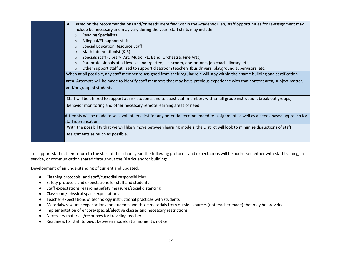| Based on the recommendations and/or needs identified within the Academic Plan, staff opportunities for re-assignment may          |  |  |
|-----------------------------------------------------------------------------------------------------------------------------------|--|--|
| include be necessary and may vary during the year. Staff shifts may include:                                                      |  |  |
| <b>Reading Specialists</b><br>$\circ$                                                                                             |  |  |
| Bilingual/EL support staff<br>$\circ$                                                                                             |  |  |
| <b>Special Education Resource Staff</b><br>$\Omega$                                                                               |  |  |
| Math Interventionist (K-5)<br>$\circ$                                                                                             |  |  |
| Specials staff (Library, Art, Music, PE, Band, Orchestra, Fine Arts)<br>$\circ$                                                   |  |  |
| Paraprofessionals at all levels (kindergarten, classroom, one-on-one, job coach, library, etc)<br>$\circ$                         |  |  |
| Other support staff utilized to support classroom teachers (bus drivers, playground supervisors, etc.)<br>$\circ$                 |  |  |
| When at all possible, any staff member re-assigned from their regular role will stay within their same building and certification |  |  |
| area. Attempts will be made to identify staff members that may have previous experience with that content area, subject matter,   |  |  |
| and/or group of students.                                                                                                         |  |  |
|                                                                                                                                   |  |  |
| Staff will be utilized to support at-risk students and to assist staff members with small group instruction, break out groups,    |  |  |
| behavior monitoring and other necessary remote learning areas of need.                                                            |  |  |
|                                                                                                                                   |  |  |
| Attempts will be made to seek volunteers first for any potential recommended re-assignment as well as a needs-based approach for  |  |  |
| staff identification.                                                                                                             |  |  |
| With the possibility that we will likely move between learning models, the District will look to minimize disruptions of staff    |  |  |
| assignments as much as possible.                                                                                                  |  |  |
|                                                                                                                                   |  |  |
|                                                                                                                                   |  |  |

To support staff in their return to the start of the school year, the following protocols and expectations will be addressed either with staff training, inservice, or communication shared throughout the District and/or building:

Development of an understanding of current and updated:

- Cleaning protocols, and staff/custodial responsibilities
- Safety protocols and expectations for staff and students
- Staff expectations regarding safety measures/social distancing
- Classroom/ physical space expectations
- Teacher expectations of technology instructional practices with students
- Materials/resource expectations for students and those materials from outside sources (not teacher made) that may be provided
- Implementation of encore/special/elective classes and necessary restrictions
- Necessary materials/resources for traveling teachers
- Readiness for staff to pivot between models at a moment's notice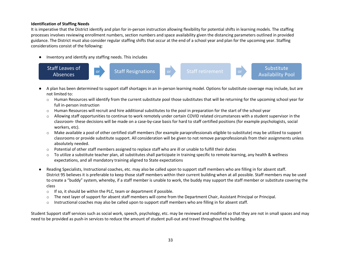#### **Identification of Staffing Needs**

It is imperative that the District identify and plan for in-person instruction allowing flexibility for potential shifts in learning models. The staffing processes involves reviewing enrollment numbers, section numbers and space availability given the distancing parameters outlined in provided guidance. The District must also consider regular staffing shifts that occur at the end of a school year and plan for the upcoming year. Staffing considerations consist of the following:

● Inventory and identify any staffing needs. This includes



- A plan has been determined to support staff shortages in an in-person learning model. Options for substitute coverage may include, but are not limited to:
	- o Human Resources will identify from the current substitute pool those substitutes that will be returning for the upcoming school year for full in-person instruction
	- $\circ$  Human Resources will recruit and hire additional substitutes to the pool in preparation for the start of the school year
	- o Allowing staff opportunities to continue to work remotely under certain COVID related circumstances with a student supervisor in the classroom- these decisions will be made on a case-by-case basis for hard to staff certified positions (for example psychologists, social workers, etc).
	- o Make available a pool of other certified staff members (for example paraprofessionals eligible to substitute) may be utilized to support classrooms or provide substitute support. All consideration will be given to not remove paraprofessionals from their assignments unless absolutely needed.
	- $\circ$  Potential of other staff members assigned to replace staff who are ill or unable to fulfill their duties
	- $\circ$  To utilize a substitute teacher plan, all substitutes shall participate in training specific to remote learning, any health & wellness expectations, and all mandatory training aligned to State expectations
- Reading Specialists, Instructional coaches, etc. may also be called upon to support staff members who are filling in for absent staff. District 95 believes it is preferable to keep those staff members within their current building when at all possible. Staff members may be used to create a "buddy" system, whereby, if a staff member is unable to work, the buddy may support the staff member or substitute covering the class
	- $\circ$  If so, it should be within the PLC, team or department if possible.
	- o The next layer of support for absent staff members will come from the Department Chair, Assistant Principal or Principal.
	- o Instructional coaches may also be called upon to support staff members who are filling in for absent staff.

Student Support staff services such as social work, speech, psychology, etc. may be reviewed and modified so that they are not in small spaces and may need to be provided as push-in services to reduce the amount of student pull-out and travel throughout the building.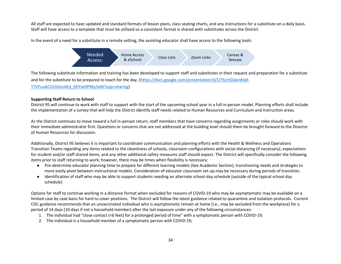All staff are expected to have updated and standard formats of lesson plans, class seating charts, and any instructions for a substitute on a daily basis. Staff will have access to a template that must be utilized so a consistent format is shared with substitutes across the District.

In the event of a need for a substitute in a remote setting, the assisting educator shall have access to the following tools:



The following substitute information and training has been developed to support staff and substitutes in their request and preparation for a substitute and for the substitute to be prepared to teach for the day. [\(https://docs.google.com/presentation/d/1iT5zctGQxvWqIl-](https://docs.google.com/presentation/d/1iT5zctGQxvWqIl-T7VFuuACOrGVezAEd_6fJYxe0PMs/edit?usp=sharing)[T7VFuuACOrGVezAEd\\_6fJYxe0PMs/edit?usp=sharing\)](https://docs.google.com/presentation/d/1iT5zctGQxvWqIl-T7VFuuACOrGVezAEd_6fJYxe0PMs/edit?usp=sharing)

#### **Supporting Staff Return to School**

District 95 will continue to work with staff to support with the start of the upcoming school year in a full in-person model. Planning efforts shall include the implementation of a survey that will help the District identify staff needs related to Human Resources and Curriculum and Instruction areas.

As the District continues to move toward a full in-person return, staff members that have concerns regarding assignments or roles should work with their immediate administrator first. Questions or concerns that are not addressed at the building level should them be brought forward to the Director of Human Resources for discussion.

Additionally, District 95 believes it is important to coordinate communication and planning efforts with the Health & Wellness and Operations Transition Teams regarding any items related to the cleanliness of schools, classroom configurations with social distancing (if necessary), expectations for student and/or staff shared items, and any other additional safety measures staff should expect. The District will specifically consider the following items prior to staff returning to work; however, there may be times when flexibility is necessary:

- Pre-determine educator planning time to prepare for different learning models (See Academic Section), transitioning needs and strategies to more easily pivot between instructional models. Consideration of educator classroom set-up may be necessary during periods of transition.
- Identification of staff who may be able to support students needing an alternate school-day schedule (outside of the typical school day schedule)

Options for staff to continue working in a distance format when excluded for reasons of COVID-19 who may be asymptomatic may be available on a limited case by case basis for hard to cover positions. The District will follow the latest guidance related to quarantine and isolation protocols. Current CDC guidance recommends that an unvaccinated individual who is asymptomatic remain at home (i.e., may be excluded from the workplace) for a period of 14 days (10 days if not a household member) after the last exposure under any of the following circumstances:

- 1. The individual had "close contact (<6 feet) for a prolonged period of time" with a symptomatic person with COVID-19;
- 2. The individual is a household member of a symptomatic person with COVID-19;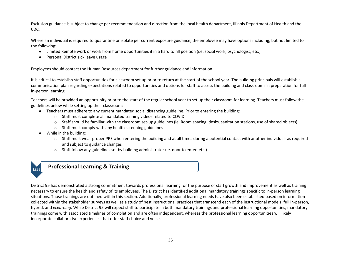Exclusion guidance is subject to change per recommendation and direction from the local health department, Illinois Department of Health and the CDC.

Where an individual is required to quarantine or isolate per current exposure guidance, the employee may have options including, but not limited to the following:

- Limited Remote work or work from home opportunities if in a hard to fill position (i.e. social work, psychologist, etc.)
- Personal District sick leave usage

Employees should contact the Human Resources department for further guidance and information.

It is critical to establish staff opportunities for classroom set up prior to return at the start of the school year. The building principals will establish a communication plan regarding expectations related to opportunities and options for staff to access the building and classrooms in preparation for full in-person learning.

Teachers will be provided an opportunity prior to the start of the regular school year to set up their classroom for learning. Teachers must follow the guidelines below while setting up their classroom:

- Teachers must adhere to any current mandated social distancing guideline. Prior to entering the building:
	- o Staff must complete all mandated training videos related to COVID
	- $\circ$  Staff should be familiar with the classroom set-up guidelines (ie. Room spacing, desks, sanitation stations, use of shared objects)
	- $\circ$  Staff must comply with any health screening guidelines
- While in the building:
	- $\circ$  Staff must wear proper PPE when entering the building and at all times during a potential contact with another individual- as required and subject to guidance changes
	- o Staff follow any guidelines set by building administrator (ie. door to enter, etc.)

### LZ95 **Professional Learning & Training**

District 95 has demonstrated a strong commitment towards professional learning for the purpose of staff growth and improvement as well as training necessary to ensure the health and safety of its employees. The District has identified additional mandatory trainings specific to in-person learning situations. Those trainings are outlined within this section. Additionally, professional learning needs have also been established based on information collected within the stakeholder surveys as well as a study of best instructional practices that transcend each of the instructional models: full in-person, hybrid, and *eLearning*. While District 95 will expect staff to participate in both mandatory trainings and professional learning opportunities, mandatory trainings come with associated timelines of completion and are often independent, whereas the professional learning opportunities will likely incorporate collaborative experiences that offer staff choice and voice.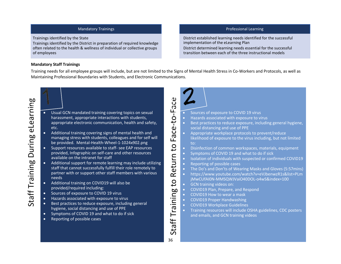#### Mandatory Trainings

Trainings identified by the State

Trainings identified by the District in preparation of required knowledge often related to the health & wellness of individual or collective groups of employees

#### Professional Learning

District established learning needs identified for the successful implementation of the eLearning Plan District determined learning needs essential for the successful transition between each of the three instructional models

#### **Mandatory Staff Trainings**

Training needs for all employee groups will include, but are not limited to the Signs of Mental Health Stress in Co-Workers and Protocols, as well as Maintaining Professional Boundaries with Students, and Electronic Communications.

-Face

Return to

 $\overline{C}$ 

Staff Training

36

- Usual GCN mandated training covering topics on sexual harassment, appropriate interactions with students, appropriate electronic communication, health and safety, etc.
- Additional training covering signs of mental health and managing stress with students, colleagues and for self will be provided. Mental-Health-Wheel-1-1024x902.png
- Support resources available to staff- see EAP resources provided, Infographic on self-care and other resources available on the intranet for staff
- Additional support for remote learning may include utilizing staff that cannot successfully fulfill their role remotely to partner with or support other staff members with various needs
- Additional training on COVID19 will also be provided/required including:
- Sources of exposure to COVID 19 virus
- Hazards associated with exposure to virus
- Best practices to reduce exposure, including general hygiene, social distancing and use of PPE
- Symptoms of COVID 19 and what to do if sick
- Reporting of possible cases



- Sources of exposure to COVID 19 virus
- -to • Hazards associated with exposure to virus
	- Best practices to reduce exposure, including general hygiene, social distancing and use of PPE
	- Appropriate workplace protocols to prevent/reduce likelihood of exposure to the virus including, but not limited to:
	- Disinfection of common workspaces, materials, equipment
	- Symptoms of COVID 19 and what to do if sick
	- Isolation of individuals with suspected or confirmed COVID19
	- Reporting of possible cases
	- The Do's and Don'ts of Wearing Masks and Gloves (5:57mins)
	- https://www.youtube.com/watch?v=eVJbenwzR1s&list=PLm jMwCUfAI0N-MMSQWJVaiO40DOL-o4wS&index=100
	- GCN training videos on:
- Staff Training to Return to Face • COVID19 Plan, Prepare, and Respond
	- COVID19 How to wear a mask
	- COVID19 Proper Handwashing
	- COVID19 Workplace Guidelines
	- Training resources will include OSHA guidelines, CDC posters and emails, and GCN training videos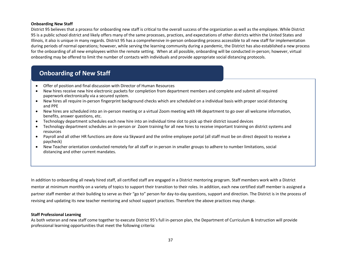#### **Onboarding New Staff**

District 95 believes that a process for onboarding new staff is critical to the overall success of the organization as well as the employee. While District 95 is a public school district and likely offers many of the same processes, practices, and expectations of other districts within the United States and Illinois, it also is unique in many regards. District 95 has a comprehensive in-person onboarding process accessible to all new staff for implementation during periods of normal operations; however, while serving the learning community during a pandemic, the District has also established a new process for the onboarding of all new employees within the remote setting. When at all possible, onboarding will be conducted in-person; however, virtual onboarding may be offered to limit the number of contacts with individuals and provide appropriate social distancing protocols.

## **Onboarding of New Staff**

- Offer of position and final discussion with Director of Human Resources
- New hires receive new hire electronic packets for completion from department members and complete and submit all required paperwork electronically via a secured system.
- New hires all require in-person fingerprint background checks which are scheduled on a individual basis with proper social distancing and PPE
- New hires are scheduled into an in-person meeting or a virtual Zoom meeting with HR department to go over all welcome information, benefits, answer questions, etc.
- Technology department schedules each new hire into an individual time slot to pick up their district issued devices
- Technology department schedules an in-person or Zoom training for all new hires to receive important training on district systems and resources
- Payroll and all other HR functions are done via Skyward and the online employee portal (all staff must be on direct deposit to receive a paycheck)
- New Teacher orientation conducted remotely for all staff or in person in smaller groups to adhere to number limitations, social distancing and other current mandates.

In addition to onboarding all newly hired staff, all certified staff are engaged in a District mentoring program. Staff members work with a District mentor at minimum monthly on a variety of topics to support their transition to their roles. In addition, each new certified staff member is assigned a partner staff member at their building to serve as their "go to" person for day-to-day questions, support and direction. The District is in the process of revising and updating its new teacher mentoring and school support practices. Therefore the above practices may change.

#### **Staff Professional Learning**

As both veteran and new staff come together to execute District 95's full in-person plan, the Department of Curriculum & Instruction will provide professional learning opportunities that meet the following criteria: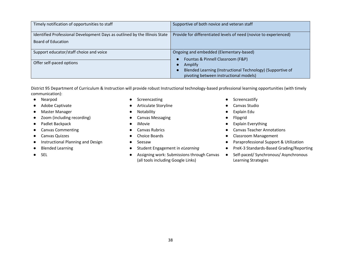| Timely notification of opportunities to staff                                                    | Supportive of both novice and veteran staff                                                                                                           |  |
|--------------------------------------------------------------------------------------------------|-------------------------------------------------------------------------------------------------------------------------------------------------------|--|
| Identified Professional Development Days as outlined by the Illinois State<br>Board of Education | Provide for differentiated levels of need (novice to experienced)                                                                                     |  |
| Support educator/staff choice and voice<br>Offer self-paced options                              | Ongoing and embedded (Elementary-based)<br>Fountas & Pinnell Classroom (F&P)<br>Amplify<br>Blended Learning (Instructional Technology) (Supportive of |  |
|                                                                                                  | pivoting between instructional models)                                                                                                                |  |

District 95 Department of Curriculum & Instruction will provide robust Instructional technology-based professional learning opportunities (with timely communication):

- 
- 
- Master Manager Notability Notability Motability Explain Edu
- Zoom (including recording) <br>● Canvas Messaging <br>● Plipgrid
- 
- 
- 
- 
- 
- 
- Nearpod Screencasting Screencasting Screencasting Screencasting
- Adobe Captivate <br>● Adobe Canvas Studio
	-
	-
	-
	-
	-
	-
	-
- SEL SEL SEL Assigning work: Submissions through Canvas (all tools including Google Links)
- 
- 
- 
- 
- Padlet Backpack 
 Padlet Backpack

 Padlet Backpack

→ Padlet Backpack

→ Padlet Backpack

→ Padlet Backpack

→ Padlet Backpack

→ Padlet Backpack

→ Padlet Backpack

→ Padlet Backpack

→ Padlet Backpack

→ Padlet Bac
- Canvas Commenting 
→ Canvas Commenting 
→ Canvas Rubrics
→ Canvas Teacher Annotations
- Canvas Quizzes Choice Boards Choice Boards Classroom Management
- Instructional Planning and Design Seesaw Paraprofessional Support & Utilization
- Blended Learning 
 Student Engagement in *eLearning* PreK-3 Standards-Based Grading/Reporting
	- Self-paced/ Synchronous/ Asynchronous Learning Strategies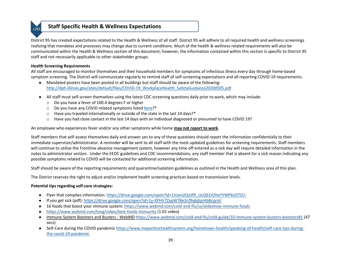## **Staff Specific Health & Wellness Expectations**

District 95 has created expectations related to the Health & Wellness of all staff. District 95 will adhere to all required health and wellness screenings realizing that mandates and processes may change due to current conditions. Much of the health & wellness related requirements will also be communicated within the Health & Wellness section of this document; however, the information contained within this section is specific to District 95 staff and not necessarily applicable to other stakeholder groups.

#### **Health Screening Requirements**

All staff are encouraged to monitor themselves and their household members for symptoms of infectious illness every day through home-based symptom screening. The District will communicate regularly to remind staff of self-screening expectations and all reporting COVID-19 requirements.

- Mandated posters have been posted in all buildings but staff should be aware of the following: [http://dph.illinois.gov/sites/default/files/COVID-19\\_WorkplaceHealth\\_SafetyGuidance20200505.pdf](http://dph.illinois.gov/sites/default/files/COVID-19_WorkplaceHealth_SafetyGuidance20200505.pdf)
- All staff must self-screen themselves using the latest CDC screening questions daily prior to work, which may include:
	- o Do you have a fever of 100.4 degrees F or higher
	- o Do you have any COVID related symptoms liste[d here?](https://www.cdc.gov/coronavirus/2019-ncov/symptoms-testing/symptoms.html)\*
	- $\circ$  Have you traveled internationally or outside of the state in the last 14 days?\*
	- $\circ$  Have you had close contact in the last 14 days with an individual diagnosed or presumed to have COVID 19?

An employee who experiences fever and/or any other symptoms while home **may not report to work**.

Staff members that self-assess themselves daily and answer yes to any of these questions should report the information confidentially to their immediate supervisor/administrator. A reminder will be sent to all staff with the most updated guidelines for screening requirements. Staff members will continue to utilize the Frontline absence management system, however any time off entered as a sick day will require detailed information in the notes to administrator section. Under the EEOC guidelines and CDC recommendations, any staff member that is absent for a sick reason indicating any possible symptoms related to COVID will be contacted for additional screening information.

Staff should be aware of the reporting requirements and quarantine/isolation guidelines as outlined in the Health and Wellness area of this plan.

The District reserves the right to adjust and/or implement health screening practices based on transmission levels.

#### **Potential tips regarding self-care strategies:**

- Flyer that complies information[: https://drive.google.com/open?id=1Vzen2QJslfX\\_UzQ91X2heYYWP6zO7ZU-](https://drive.google.com/open?id=1Vzen2QJslfX_UzQ91X2heYYWP6zO7ZU-)
- If you get sick (pdf)[: https://drive.google.com/open?id=1y-XPHV7ZxpW7Be3rZRqkjbjsHbBcqrxV](https://drive.google.com/open?id=1y-XPHV7ZxpW7Be3rZRqkjbjsHbBcqrxV)
- 16 foods that boost your immune system:<https://www.webmd.com/cold-and-flu/ss/slideshow-immune-foods>
- <https://www.webmd.com/lung/video/best-foods-immunity> (1:01 video)
- [Immune System Boosters and Busters -](https://www.webmd.com/cold-and-flu/cold-guide/10-immune-system-busters-boosters) WebMD <https://www.webmd.com/cold-and-flu/cold-guide/10-immune-system-busters-boosters#1> (47 secs)
- Self-Care during the COVID pandemi[c https://www.mayoclinichealthsystem.org/hometown-health/speaking-of-health/self-care-tips-during](https://www.mayoclinichealthsystem.org/hometown-health/speaking-of-health/self-care-tips-during-the-covid-19-pandemic)[the-covid-19-pandemic](https://www.mayoclinichealthsystem.org/hometown-health/speaking-of-health/self-care-tips-during-the-covid-19-pandemic)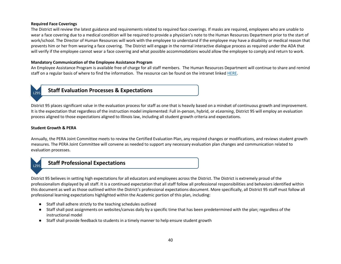#### **Required Face Coverings**

The District will review the latest guidance and requirements related to required face coverings. If masks are required, employees who are unable to wear a face covering due to a medical condition will be required to provide a physician's note to the Human Resources Department prior to the start of work/school. The Director of Human Resources will work with the employee to understand if the employee may have a disability or medical reason that prevents him or her from wearing a face covering. The District will engage in the normal interactive dialogue process as required under the ADA that will verify if the employee cannot wear a face covering and what possible accommodations would allow the employee to comply and return to work.

#### **Mandatory Communication of the Employee Assistance Program**

An Employee Assistance Program is available free of charge for all staff members. The Human Resources Department will continue to share and remind staff on a regular basis of where to find the information. The resource can be found on the intranet linke[d HERE.](https://lz95org.sharepoint.com/sites/departments/humanresources/Open%20Enrollment/Employee%20Assistance%20Program/EAP.pdf)



## **Staff Evaluation Processes & Expectations**

District 95 places significant value in the evaluation process for staff as one that is heavily based on a mindset of continuous growth and improvement. It is the expectation that regardless of the instruction model implemented: Full in-person, hybrid, or *eLearning*, District 95 will employ an evaluation process aligned to those expectations aligned to Illinois law, including all student growth criteria and expectations.

#### **Student Growth & PERA**

Annually, the PERA Joint Committee meets to review the Certified Evaluation Plan, any required changes or modifications, and reviews student growth measures. The PERA Joint Committee will convene as needed to support any necessary evaluation plan changes and communication related to evaluation processes.



## LZ95 **Staff Professional Expectations**

District 95 believes in setting high expectations for all educators and employees across the District. The District is extremely proud of the professionalism displayed by all staff. It is a continued expectation that all staff follow all professional responsibilities and behaviors identified within this document as well as those outlined within the District's professional expectations document. More specifically, all District 95 staff must follow all professional learning expectations highlighted within the Academic portion of this plan, including:

- Staff shall adhere strictly to the teaching schedules outlined
- Staff shall post assignments on websites/canvas daily by a specific time that has been predetermined with the plan; regardless of the instructional model
- Staff shall provide feedback to students in a timely manner to help ensure student growth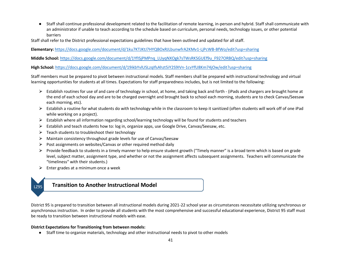● Staff shall continue professional development related to the facilitation of remote learning, in-person and hybrid. Staff shall communicate with an administrator if unable to teach according to the schedule based on curriculum, personal needs, technology issues, or other potential barriers

Staff shall refer to the District professional expectations guidelines that have been outlined and updated for all staff.

**Elementary:** <https://docs.google.com/document/d/1ku7KTJKtJ7HYQBOxRJLbunwfrA2KMv1-LjPcWB-BfWo/edit?usp=sharing>

**Middle School:** [https://docs.google.com/document/d/1YfISjPMPnq\\_LUyqNXOgk7sTWsRKSGUEf9u\\_F927ORBQ/edit?usp=sharing](https://docs.google.com/document/d/1YfISjPMPnq_LUyqNXOgk7sTWsRKSGUEf9u_F927ORBQ/edit?usp=sharing)

**High School:** <https://docs.google.com/document/d/19ikbYvlUSLzqIfsAhzt5iY2S9IVn-1cvYfU8Km74jOw/edit?usp=sharing>

Staff members must be prepared to pivot between instructional models. Staff members shall be prepared with instructional technology and virtual learning opportunities for students at all times. Expectations for staff preparedness includes, but is not limited to the following:

- ⮚ Establish routines for use of and care of technology in school, at home, and taking back and forth (iPads and chargers are brought home at the end of each school day and are to be charged overnight and brought back to school each morning, students are to check Canvas/Seesaw each morning, etc).
- ⮚ Establish a routine for what students do with technology while in the classroom to keep it sanitized (often students will work off of one iPad while working on a project).
- ⮚ Establish where all information regarding school/learning technology will be found for students and teachers
- $\triangleright$  Establish and teach students how to: log in, organize apps, use Google Drive, Canvas/Seesaw, etc.
- $\triangleright$  Teach students to troubleshoot their technology
- $\triangleright$  Maintain consistency throughout grade levels for use of Canvas/Seesaw
- $\triangleright$  Post assignments on websites/Canvas or other required method daily
- $\triangleright$  Provide feedback to students in a timely manner to help ensure student growth ("Timely manner" is a broad term which is based on grade level, subject matter, assignment type, and whether or not the assignment affects subsequent assignments. Teachers will communicate the "timeliness" with their students.)
- $\triangleright$  Enter grades at a minimum once a week



## **Transition to Another Instructional Model**

District 95 is prepared to transition between all instructional models during 2021-22 school year as circumstances necessitate utilizing synchronous or asynchronous instruction. In order to provide all students with the most comprehensive and successful educational experience, District 95 staff must be ready to transition between instructional models with ease.

#### **District Expectations for Transitioning from between models:**

● Staff time to organize materials, technology and other instructional needs to pivot to other models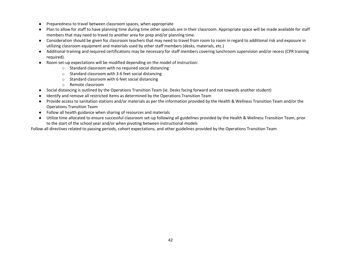- Preparedness to travel between classroom spaces, when appropriate
- Plan to allow for staff to have planning time during time other specials are in their classroom. Appropriate space will be made available for staff members that may need to travel to another area for prep and/or planning time.
- Consideration should be given for classroom teachers that may need to travel from room to room in regard to additional risk and exposure in utilizing classroom equipment and materials used by other staff members (desks, materials, etc.)
- Additional training and required certifications may be necessary for staff members covering lunchroom supervision and/or recess (CPR training required).
- Room set-up expectations will be modified depending on the model of instruction:
	- o Standard classroom with no required social distancing
	- o Standard classroom with 3-6 feet social distancing
	- o Standard classroom with 6 feet social distancing
	- o Remote classroom
- Social distancing is outlined by the Operations Transition Team (ie. Desks facing forward and not towards another student)
- Identify and remove all restricted items as determined by the Operations Transition Team
- Provide access to sanitation stations and/or materials as per the information provided by the Health & Wellness Transition Team and/or the Operations Transition Team
- Follow all health guidance when sharing of resources and materials
- Utilize time allocated to ensure successful classroom set-up following all guidelines provided by the Health & Wellness Transition Team, prior to the start of the school year and/or when pivoting between instructional models

Follow all directives related to passing periods, cohort expectations, and other guidelines provided by the Operations Transition Team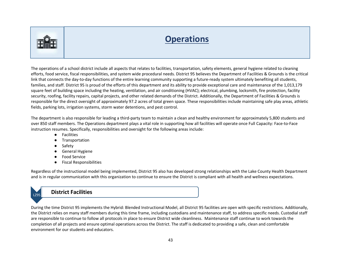

# **Operations**

The operations of a school district include all aspects that relates to facilities, transportation, safety elements, general hygiene related to cleaning efforts, food service, fiscal responsibilities, and system wide procedural needs. District 95 believes the Department of Facilities & Grounds is the critical link that connects the day-to-day functions of the entire learning community supporting a future-ready system ultimately benefiting all students, families, and staff. District 95 is proud of the efforts of this department and its ability to provide exceptional care and maintenance of the 1,013,179 square feet of building space including the heating, ventilation, and air conditioning (HVAC); electrical, plumbing, locksmith, fire protection, facility security, roofing, facility repairs, capital projects, and other related demands of the District. Additionally, the Department of Facilities & Grounds is responsible for the direct oversight of approximately 97.2 acres of total green space. These responsibilities include maintaining safe play areas, athletic fields, parking lots, irrigation systems, storm water detentions, and pest control.

The department is also responsible for leading a third-party team to maintain a clean and healthy environment for approximately 5,800 students and over 850 staff members. The Operations department plays a vital role in supporting how all facilities will operate once Full Capacity: Face-to-Face instruction resumes. Specifically, responsibilities and oversight for the following areas include:

- Facilities
- Transportation
- Safety
- General Hygiene
- Food Service
- Fiscal Responsibilities

Regardless of the instructional model being implemented, District 95 also has developed strong relationships with the Lake County Health Department and is in regular communication with this organization to continue to ensure the District is compliant with all health and wellness expectations.

## LZ95 **District Facilities**

During the time District 95 implements the Hybrid: Blended Instructional Model, all District 95 facilities are open with specific restrictions. Additionally, the District relies on many staff members during this time frame, including custodians and maintenance staff, to address specific needs. Custodial staff are responsible to continue to follow all protocols in place to ensure District wide cleanliness. Maintenance staff continue to work towards the completion of all projects and ensure optimal operations across the District. The staff is dedicated to providing a safe, clean and comfortable environment for our students and educators.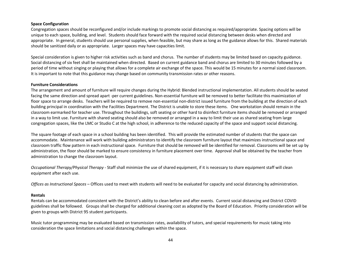#### **Space Configuration**

Congregation spaces should be reconfigured and/or include markings to promote social distancing as required/appropriate. Spacing options will be unique to each space, building, and level. Students should face forward with the required social distancing between desks when directed and appropriate. In general, students should use personal supplies, when feasible, but may share as long as the guidance allows for this. Shared materials should be sanitized daily or as appropriate. Larger spaces may have capacities limit.

Special consideration is given to higher risk activities such as band and chorus. The number of students may be limited based on capacity guidance. Social distancing of six feet shall be maintained when directed. Based on current guidance band and chorus are limited to 30 minutes followed by a period of time without singing or playing that allows for a complete air exchange of the space. This would be 15 minutes for a normal sized classroom. It is important to note that this guidance may change based on community transmission rates or other reasons.

#### **Furniture Considerations**

The arrangement and amount of furniture will require changes during the Hybrid: Blended instructional implementation. All students should be seated facing the same direction and spread apart -per current guidelines. Non-essential furniture will be removed to better facilitate this maximization of floor space to arrange desks. Teachers will be required to remove non-essential non-district issued furniture from the building at the direction of each building principal in coordination with the Facilities Department. The District is unable to store these items. One workstation should remain in the classroom earmarked for teacher use. Throughout the buildings, soft seating or other hard to disinfect furniture items should be removed or arranged in a way to limit use. Furniture with shared seating should also be removed or arranged in a way to limit their use as shared seating from large congregation spaces, like the LMC or Studio C at the high school, in adherence to the reduced capacity of the space and support social distancing.

The square footage of each space in a school building has been identified. This will provide the estimated number of students that the space can accommodate. Maintenance will work with building administrators to identify the classroom furniture layout that maximizes instructional space and classroom traffic flow pattern in each instructional space. Furniture that should be removed will be identified for removal. Classrooms will be set up by administration, the floor should be marked to ensure consistency in furniture placement over time. Approval shall be obtained by the teacher from administration to change the classroom layout.

*Occupational Therapy/Physical Therapy* - Staff shall minimize the use of shared equipment, if it is necessary to share equipment staff will clean equipment after each use.

*Offices as Instructional Spaces* – Offices used to meet with students will need to be evaluated for capacity and social distancing by administration.

#### **Rentals**

Rentals can be accommodated consistent with the District's ability to clean before and after events. Current social distancing and District COVID guidelines shall be followed. Groups shall be charged for additional cleaning cost as adopted by the Board of Education. Priority consideration will be given to groups with District 95 student participants.

Music tutor programming may be evaluated based on transmission rates, availability of tutors, and special requirements for music taking into consideration the space limitations and social distancing challenges within the space.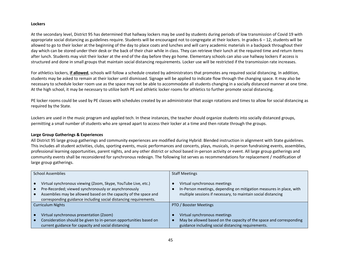#### **Lockers**

At the secondary level, District 95 has determined that hallway lockers may be used by students during periods of low transmission of Covid 19 with appropriate social distancing as guidelines require. Students will be encouraged not to congregate at their lockers. In grades  $6 - 12$ , students will be allowed to go to their locker at the beginning of the day to place coats and lunches and will carry academic materials in a backpack throughout their day which can be stored under their desk or the back of their chair while in class. They can retrieve their lunch at the required time and return items after lunch. Students may visit their locker at the end of the day before they go home. Elementary schools can also use hallway lockers if access is structured and done in small groups that maintain social distancing requirements. Locker use will be restricted if the transmission rate increases.

For athletics lockers, **if allowed**, schools will follow a schedule created by administrators that promotes any required social distancing. In addition, students may be asked to remain at their locker until dismissed. Signage will be applied to indicate flow through the changing space. It may also be necessary to schedule locker room use as the space may not be able to accommodate all students changing in a socially distanced manner at one time. At the high school, it may be necessary to utilize both PE and athletic locker rooms for athletics to further promote social distancing.

PE locker rooms could be used by PE classes with schedules created by an administrator that assign rotations and times to allow for social distancing as required by the State.

Lockers are used in the music program and applied tech. In these instances, the teacher should organize students into socially distanced groups, permitting a small number of students who are spread apart to access their locker at a time and then rotate through the groups.

#### **Large Group Gatherings & Experiences**

All District 95 large group gatherings and community experiences are modified during Hybrid: Blended instruction in alignment with State guidelines. This includes all student activities, clubs, sporting events, music performances and concerts, plays, musicals, in-person fundraising events, assemblies, professional learning opportunities, parent nights, and any other district or school based in-person activity or event. All large group gatherings and community events shall be reconsidered for synchronous redesign. The following list serves as recommendations for replacement / modification of large group gatherings.

| <b>School Assemblies</b><br><b>Staff Meetings</b>                                                                                                                                                                                                             |                                                                                                                                                                      |
|---------------------------------------------------------------------------------------------------------------------------------------------------------------------------------------------------------------------------------------------------------------|----------------------------------------------------------------------------------------------------------------------------------------------------------------------|
| Virtual synchronous viewing (Zoom, Skype, YouTube Live, etc.)<br>Pre-Recorded; viewed synchronously or asynchronously<br>Assemblies may be allowed based on the capacity of the space and<br>corresponding guidance including social distancing requirements. | Virtual synchronous meetings<br>In-Person meetings, depending on mitigation measures in place, with<br>multiple sessions if necessary, to maintain social distancing |
| Curriculum Nights                                                                                                                                                                                                                                             | PTO / Booster Meetings                                                                                                                                               |
| Virtual synchronous presentation (Zoom)<br>Consideration should be given to in-person opportunities based on<br>current guidance for capacity and social distancing                                                                                           | Virtual synchronous meetings<br>May be allowed based on the capacity of the space and corresponding<br>guidance including social distancing requirements.            |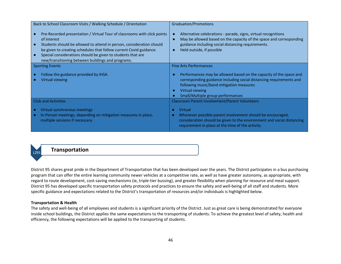| Back to School Classroom Visits / Walking Schedule / Orientation                                                                                                                                                                                                                                                                                          | <b>Graduation/Promotions</b>                                                                                                                                                                                                                  |
|-----------------------------------------------------------------------------------------------------------------------------------------------------------------------------------------------------------------------------------------------------------------------------------------------------------------------------------------------------------|-----------------------------------------------------------------------------------------------------------------------------------------------------------------------------------------------------------------------------------------------|
| Pre-Recorded presentation / Virtual Tour of classrooms with click points<br>of interest<br>Students should be allowed to attend in person, consideration should<br>be given to creating schedules that follow current Covid guidance.<br>Special considerations should be given to students that are<br>new/transitioning between buildings and programs. | Alternative celebrations - parade, signs, virtual recognitions<br>May be allowed based on the capacity of the space and corresponding<br>guidance including social distancing requirements.<br>Held outside, if possible                      |
| <b>Sporting Events</b>                                                                                                                                                                                                                                                                                                                                    | <b>Fine Arts Performances</b>                                                                                                                                                                                                                 |
| Follow the guidance provided by IHSA.<br>Virtual viewing                                                                                                                                                                                                                                                                                                  | Performances may be allowed based on the capacity of the space and<br>corresponding guidance including social distancing requirements and<br>following music/band mitigation measures<br>Virtual viewing<br>Small/Multiple group performances |
| <b>Club and Activities</b>                                                                                                                                                                                                                                                                                                                                | <b>Classroom Parent Involvement/Parent Volunteers</b>                                                                                                                                                                                         |
| Virtual synchronous meetings<br>In-Person meetings, depending on mitigation measures in place,<br>multiple sessions if necessary.                                                                                                                                                                                                                         | Virtual<br>$\bullet$<br>Whenever possible parent involvement should be encouraged,<br>consideration should be given to the environment and social distancing<br>requirement in place at the time of the activity.                             |

## LZ95 **Transportation**

District 95 shares great pride in the Department of Transportation that has been developed over the years. The District participates in a bus purchasing program that can offer the entire learning community newer vehicles at a competitive rate, as well as have greater autonomy, as appropriate, with regard to route development, cost-saving mechanisms (ie, triple-tier bussing), and greater flexibility when planning for resource and meal support. District 95 has developed specific transportation safety protocols and practices to ensure the safety and well-being of all staff and students. More specific guidance and expectations related to the District's transportation of resources and/or individuals is highlighted below.

#### **Transportation & Health**

The safety and well-being of all employees and students is a significant priority of the District. Just as great care is being demonstrated for everyone inside school buildings, the District applies the same expectations to the transporting of students. To achieve the greatest level of safety, health and efficiency, the following expectations will be applied to the transporting of students.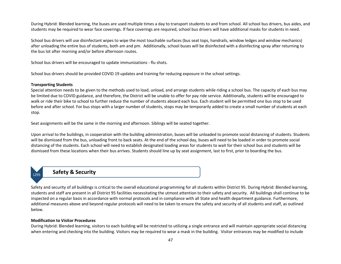During Hybrid: Blended learning, the buses are used multiple times a day to transport students to and from school. All school bus drivers, bus aides, and students may be required to wear face coverings. If face coverings are required, school bus drivers will have additional masks for students in need.

School bus drivers will use disinfectant wipes to wipe the most touchable surfaces (bus seat tops, handrails, window ledges and window mechanics) after unloading the entire bus of students, both am and pm. Additionally, school buses will be disinfected with a disinfecting spray after returning to the bus lot after morning and/or before afternoon routes.

School bus drivers will be encouraged to update immunizations - flu shots.

School bus drivers should be provided COVID 19 updates and training for reducing exposure in the school settings.

#### **Transporting Students**

Special attention needs to be given to the methods used to load, unload, and arrange students while riding a school bus. The capacity of each bus may be limited due to COVID guidance, and therefore, the District will be unable to offer for pay ride service. Additionally, students will be encouraged to walk or ride their bike to school to further reduce the number of students aboard each bus. Each student will be permitted one bus stop to be used before and after school. For bus stops with a larger number of students, stops may be temporarily added to create a small number of students at each stop.

Seat assignments will be the same in the morning and afternoon. Siblings will be seated together.

Upon arrival to the buildings, in cooperation with the building administration, buses will be unloaded to promote social distancing of students. Students will be dismissed from the bus, unloading front to back seats. At the end of the school day, buses will need to be loaded in order to promote social distancing of the students. Each school will need to establish designated loading areas for students to wait for their school bus and students will be dismissed from these locations when their bus arrives. Students should line up by seat assignment, last to first, prior to boarding the bus.

## LZ95 **Safety & Security**

Safety and security of all buildings is critical to the overall educational programming for all students within District 95. During Hybrid: Blended learning*,* students and staff are present in all District 95 facilities necessitating the utmost attention to their safety and security. All buildings shall continue to be inspected on a regular basis in accordance with normal protocols and in compliance with all State and health department guidance. Furthermore, additional measures above and beyond regular protocols will need to be taken to ensure the safety and security of all students and staff, as outlined below.

#### **Modification to Visitor Procedures**

During Hybrid: Blended learning, visitors to each building will be restricted to utilizing a single entrance and will maintain appropriate social distancing when entering and checking into the building. Visitors may be required to wear a mask in the building. Visitor entrances may be modified to include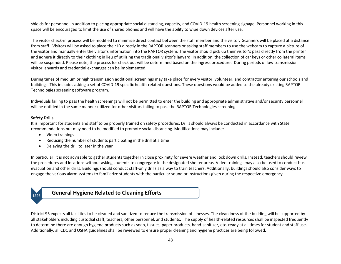shields for personnel in addition to placing appropriate social distancing, capacity, and COVID-19 health screening signage. Personnel working in this space will be encouraged to limit the use of shared phones and will have the ability to wipe down devices after use.

The visitor check-in process will be modified to minimize direct contact between the staff member and the visitor. Scanners will be placed at a distance from staff. Visitors will be asked to place their ID directly in the RAPTOR scanners or asking staff members to use the webcam to capture a picture of the visitor and manually enter the visitor's information into the RAPTOR system. The visitor should pick up their visitor's pass directly from the printer and adhere it directly to their clothing in lieu of utilizing the traditional visitor's lanyard. In addition, the collection of car keys or other collateral items will be suspended. Please note, the process for check out will be determined based on the ingress procedure. During periods of low transmission visitor lanyards and credential exchanges can be implemented.

During times of medium or high transmission additional screenings may take place for every visitor, volunteer, and contractor entering our schools and buildings. This includes asking a set of COVID-19 specific health-related questions. These questions would be added to the already existing RAPTOR Technologies screening software program.

Individuals failing to pass the health screenings will not be permitted to enter the building and appropriate administrative and/or security personnel will be notified in the same manner utilized for other visitors failing to pass the RAPTOR Technologies screening.

#### **Safety Drills**

It is important for students and staff to be properly trained on safety procedures. Drills should always be conducted in accordance with State recommendations but may need to be modified to promote social distancing. Modifications may include:

- Video trainings
- Reducing the number of students participating in the drill at a time
- Delaying the drill to later in the year

In particular, it is not advisable to gather students together in close proximity for severe weather and lock down drills. Instead, teachers should review the procedures and locations without asking students to congregate in the designated shelter areas. Video trainings may also be used to conduct bus evacuation and other drills. Buildings should conduct staff-only drills as a way to train teachers. Additionally, buildings should also consider ways to engage the various alarm systems to familiarize students with the particular sound or instructions given during the respective emergency.



## **General Hygiene Related to Cleaning Efforts**

District 95 expects all facilities to be cleaned and sanitized to reduce the transmission of illnesses. The cleanliness of the building will be supported by all stakeholders including custodial staff, teachers, other personnel, and students. The supply of health-related resources shall be inspected frequently to determine there are enough hygiene products such as soap, tissues, paper products, hand-sanitizer, etc. ready at all times for student and staff use. Additionally, all CDC and OSHA guidelines shall be reviewed to ensure proper cleaning and hygiene practices are being followed.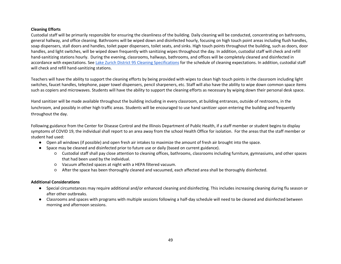#### **Cleaning Efforts**

Custodial staff will be primarily responsible for ensuring the cleanliness of the building. Daily cleaning will be conducted, concentrating on bathrooms, general hallway, and office cleaning. Bathrooms will be wiped down and disinfected hourly, focusing on high touch point areas including flush handles, soap dispensers, stall doors and handles, toilet paper dispensers, toilet seats, and sinks. High touch points throughout the building, such as doors, door handles, and light switches, will be wiped down frequently with sanitizing wipes throughout the day. In addition, custodial staff will check and refill hand-sanitizing stations hourly. During the evening, classrooms, hallways, bathrooms, and offices will be completely cleaned and disinfected in accordance with expectations. See [Lake Zurich District 95 Cleaning Specifications](https://drive.google.com/file/d/1-_3Eise1mIEQfZ73aAyYXcejwn0TCH15/view?ts=5f035938) for the schedule of cleaning expectations. In addition, custodial staff will check and refill hand-sanitizing stations.

Teachers will have the ability to support the cleaning efforts by being provided with wipes to clean high touch points in the classroom including light switches, faucet handles, telephone, paper towel dispensers, pencil sharpeners, etc. Staff will also have the ability to wipe down common space items such as copiers and microwaves. Students will have the ability to support the cleaning efforts as necessary by wiping down their personal desk space.

Hand sanitizer will be made available throughout the building including in every classroom, at building entrances, outside of restrooms, in the lunchroom, and possibly in other high traffic areas. Students will be encouraged to use hand sanitizer upon entering the building and frequently throughout the day.

Following guidance from the Center for Disease Control and the Illinois Department of Public Health, if a staff member or student begins to display symptoms of COVID 19, the individual shall report to an area away from the school Health Office for isolation. For the areas that the staff member or student had used:

- Open all windows (if possible) and open fresh air intakes to maximize the amount of fresh air brought into the space.
- Space may be cleaned and disinfected prior to future use or daily (based on current guidance).
	- Custodial staff shall pay close attention to cleaning offices, bathrooms, classrooms including furniture, gymnasiums, and other spaces that had been used by the individual.
	- Vacuum affected spaces at night with a HEPA filtered vacuum.
	- After the space has been thoroughly cleaned and vacuumed, each affected area shall be thoroughly disinfected.

#### **Additional Considerations**

- Special circumstances may require additional and/or enhanced cleaning and disinfecting. This includes increasing cleaning during flu season or after other outbreaks.
- Classrooms and spaces with programs with multiple sessions following a half-day schedule will need to be cleaned and disinfected between morning and afternoon sessions.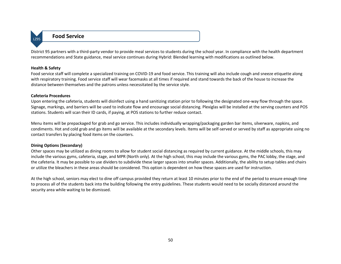

## LZ95 **Food Service**

District 95 partners with a third-party vendor to provide meal services to students during the school year. In compliance with the health department recommendations and State guidance, meal service continues during Hybrid: Blended learning with modifications as outlined below.

#### **Health & Safety**

Food service staff will complete a specialized training on COVID-19 and food service. This training will also include cough and sneeze etiquette along with respiratory training. Food service staff will wear facemasks at all times if required and stand towards the back of the house to increase the distance between themselves and the patrons unless necessitated by the service style.

#### **Cafeteria Procedures**

Upon entering the cafeteria, students will disinfect using a hand sanitizing station prior to following the designated one-way flow through the space. Signage, markings, and barriers will be used to indicate flow and encourage social distancing. Plexiglas will be installed at the serving counters and POS stations. Students will scan their ID cards, if paying, at POS stations to further reduce contact.

Menu items will be prepackaged for grab and go service. This includes individually wrapping/packaging garden bar items, silverware, napkins, and condiments. Hot and cold grab and go items will be available at the secondary levels. Items will be self-served or served by staff as appropriate using no contact transfers by placing food items on the counters.

#### **Dining Options (Secondary)**

Other spaces may be utilized as dining rooms to allow for student social distancing as required by current guidance. At the middle schools, this may include the various gyms, cafeteria, stage, and MPR (North only). At the high school, this may include the various gyms, the PAC lobby, the stage, and the cafeteria. It may be possible to use dividers to subdivide these larger spaces into smaller spaces. Additionally, the ability to setup tables and chairs or utilize the bleachers in these areas should be considered. This option is dependent on how these spaces are used for instruction.

At the high school, seniors may elect to dine off campus provided they return at least 10 minutes prior to the end of the period to ensure enough time to process all of the students back into the building following the entry guidelines. These students would need to be socially distanced around the security area while waiting to be dismissed.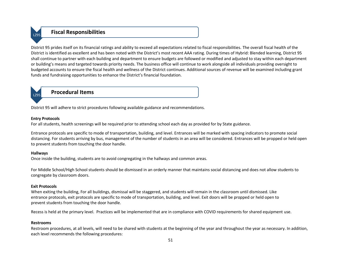## LZ95 **Fiscal Responsibilities**

District 95 prides itself on its financial ratings and ability to exceed all expectations related to fiscal responsibilities. The overall fiscal health of the District is identified as excellent and has been noted with the District's most recent AAA rating. During times of Hybrid: Blended learning, District 95 shall continue to partner with each building and department to ensure budgets are followed or modified and adjusted to stay within each department or building's means and targeted towards priority needs. The business office will continue to work alongside all individuals providing oversight to budgeted accounts to ensure the fiscal health and wellness of the District continues. Additional sources of revenue will be examined including grant funds and fundraising opportunities to enhance the District's financial foundation.

## LZ95 **Procedural Items**

District 95 will adhere to strict procedures following available guidance and recommendations.

#### **Entry Protocols**

For all students, health screenings will be required prior to attending school each day as provided for by State guidance.

Entrance protocols are specific to mode of transportation, building, and level. Entrances will be marked with spacing indicators to promote social distancing. For students arriving by bus, management of the number of students in an area will be considered. Entrances will be propped or held open to prevent students from touching the door handle.

#### **Hallways**

Once inside the building, students are to avoid congregating in the hallways and common areas.

For Middle School/High School students should be dismissed in an orderly manner that maintains social distancing and does not allow students to congregate by classroom doors.

#### **Exit Protocols**

When exiting the building, For all buildings, dismissal will be staggered, and students will remain in the classroom until dismissed. Like entrance protocols, exit protocols are specific to mode of transportation, building, and level. Exit doors will be propped or held open to prevent students from touching the door handle.

Recess is held at the primary level. Practices will be implemented that are in compliance with COVID requirements for shared equipment use.

#### **Restrooms**

Restroom procedures, at all levels, will need to be shared with students at the beginning of the year and throughout the year as necessary. In addition, each level recommends the following procedures: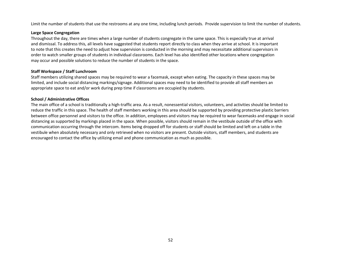Limit the number of students that use the restrooms at any one time, including lunch periods. Provide supervision to limit the number of students.

#### **Large Space Congregation**

Throughout the day, there are times when a large number of students congregate in the same space. This is especially true at arrival and dismissal. To address this, all levels have suggested that students report directly to class when they arrive at school. It is important to note that this creates the need to adjust how supervision is conducted in the morning and may necessitate additional supervisors in order to watch smaller groups of students in individual classrooms. Each level has also identified other locations where congregation may occur and possible solutions to reduce the number of students in the space.

#### **Staff Workspace / Staff Lunchroom**

Staff members utilizing shared spaces may be required to wear a facemask, except when eating. The capacity in these spaces may be limited, and include social distancing markings/signage. Additional spaces may need to be identified to provide all staff members an appropriate space to eat and/or work during prep time if classrooms are occupied by students.

#### **School / Administrative Offices**

The main office of a school is traditionally a high-traffic area. As a result, nonessential visitors, volunteers, and activities should be limited to reduce the traffic in this space. The health of staff members working in this area should be supported by providing protective plastic barriers between office personnel and visitors to the office. In addition, employees and visitors may be required to wear facemasks and engage in social distancing as supported by markings placed in the space. When possible, visitors should remain in the vestibule outside of the office with communication occurring through the intercom. Items being dropped off for students or staff should be limited and left on a table in the vestibule when absolutely necessary and only retrieved when no visitors are present. Outside visitors, staff members, and students are encouraged to contact the office by utilizing email and phone communication as much as possible.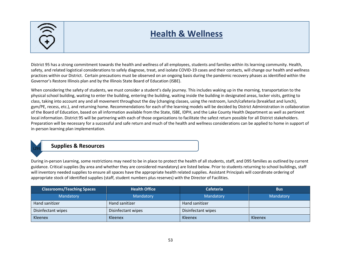## **Health & Wellness**

District 95 has a strong commitment towards the health and wellness of all employees, students and families within its learning community. Health, safety, and related logistical considerations to safely diagnose, treat, and isolate COVID-19 cases and their contacts, will change our health and wellness practices within our District. Certain precautions must be observed on an ongoing basis during the pandemic recovery phases as identified within the Governor's Restore Illinois plan and by the Illinois State Board of Education (ISBE).

When considering the safety of students, we must consider a student's daily journey. This includes waking up in the morning, transportation to the physical school building, waiting to enter the building, entering the building, waiting inside the building in designated areas, locker visits, getting to class, taking into account any and all movement throughout the day (changing classes, using the restroom, lunch/cafeteria (breakfast and lunch), gym/PE, recess, etc.), and returning home. Recommendations for each of the learning models will be decided by District Administration in collaboration of the Board of Education, based on all information available from the State, ISBE, IDPH, and the Lake County Health Department as well as pertinent local information. District 95 will be partnering with each of those organizations to facilitate the safest return possible for all District stakeholders. Preparation will be necessary for a successful and safe return and much of the health and wellness considerations can be applied to home in support of in-person learning plan implementation.



## **Supplies & Resources**

During in-person Learning, some restrictions may need to be in place to protect the health of all students, staff, and D95 families as outlined by current guidance. Critical supplies (by area and whether they are considered mandatory) are listed below. Prior to students returning to school buildings, staff will inventory needed supplies to ensure all spaces have the appropriate health related supplies. Assistant Principals will coordinate ordering of appropriate stock of identified supplies (staff, student numbers plus reserves) with the Director of Facilities.

| <b>Classrooms/Teaching Spaces</b> | <b>Health Office</b> | <b>Cafeteria</b>   | <b>Bus</b> |
|-----------------------------------|----------------------|--------------------|------------|
| Mandatory                         | Mandatory            | Mandatory          | Mandatory  |
| Hand sanitizer                    | Hand sanitizer       | Hand sanitizer     |            |
| Disinfectant wipes                | Disinfectant wipes   | Disinfectant wipes |            |
| Kleenex                           | Kleenex              | Kleenex            | Kleenex    |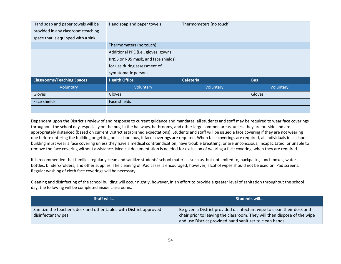| Hand soap and paper towels will be<br>provided in any classroom/teaching<br>space that is equipped with a sink | Hand soap and paper towels                                                                                                         | Thermometers (no touch) |            |
|----------------------------------------------------------------------------------------------------------------|------------------------------------------------------------------------------------------------------------------------------------|-------------------------|------------|
|                                                                                                                | Thermometers (no touch)                                                                                                            |                         |            |
|                                                                                                                | Additional PPE (i.e., gloves, gowns,<br>KN95 or N95 mask, and face shields)<br>for use during assessment of<br>symptomatic persons |                         |            |
| <b>Classrooms/Teaching Spaces</b>                                                                              | <b>Health Office</b>                                                                                                               | <b>Cafeteria</b>        | <b>Bus</b> |
| Voluntary                                                                                                      | Voluntary                                                                                                                          | Voluntary               | Voluntary  |
| Gloves                                                                                                         | Gloves                                                                                                                             |                         | Gloves     |
| Face shields                                                                                                   | Face shields                                                                                                                       |                         |            |
|                                                                                                                |                                                                                                                                    |                         |            |

Dependent upon the District's review of and response to current guidance and mandates, all students and staff may be required to wear face coverings throughout the school day, especially on the bus, in the hallways, bathrooms, and other large common areas, unless they are outside and are appropriately distanced (based on current District established expectations). Students and staff will be issued a face covering if they are not wearing one before entering the building or getting on a school bus, if face coverings are required. When face coverings are required, all individuals in a school building must wear a face covering unless they have a medical contraindication, have trouble breathing, or are unconscious, incapacitated, or unable to remove the face covering without assistance. Medical documentation is needed for exclusion of wearing a face covering, when they are required.

It is recommended that families regularly clean and sanitize students' school materials such as, but not limited to, backpacks, lunch boxes, water bottles, binders/folders, and other supplies. The cleaning of iPad cases is encouraged; however, alcohol wipes should not be used on iPad screens. Regular washing of cloth face coverings will be necessary.

Cleaning and disinfecting of the school building will occur nightly, however, in an effort to provide a greater level of sanitation throughout the school day, the following will be completed inside classrooms.

| Staff will                                                                                 | <b>Students will</b>                                                                                                                                                                                           |  |
|--------------------------------------------------------------------------------------------|----------------------------------------------------------------------------------------------------------------------------------------------------------------------------------------------------------------|--|
| Sanitize the teacher's desk and other tables with District approved<br>disinfectant wipes. | Be given a District provided disinfectant wipe to clean their desk and<br>chair prior to leaving the classroom. They will then dispose of the wipe<br>and use District provided hand sanitizer to clean hands. |  |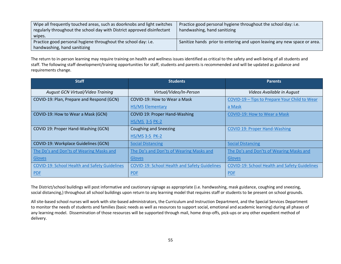| Wipe all frequently touched areas, such as doorknobs and light switches | Practice good personal hygiene throughout the school day: i.e.           |  |
|-------------------------------------------------------------------------|--------------------------------------------------------------------------|--|
| regularly throughout the school day with District approved disinfectant | handwashing, hand sanitizing                                             |  |
| wipes.                                                                  |                                                                          |  |
| Practice good personal hygiene throughout the school day: i.e.          | Sanitize hands prior to entering and upon leaving any new space or area. |  |
| handwashing, hand sanitizing                                            |                                                                          |  |

The return to in-person learning may require training on health and wellness issues identified as critical to the safety and well-being of all students and staff. The following staff development/training opportunities for staff, students and parents is recommended and will be updated as guidance and requirements change.

| <b>Staff</b>                                         | <b>Students</b>                                      | <b>Parents</b>                                       |
|------------------------------------------------------|------------------------------------------------------|------------------------------------------------------|
| August GCN Virtual/Video Training                    | Virtual/Video/In-Person                              | Videos Available in August                           |
| COVID-19: Plan, Prepare and Respond (GCN)            | COVID-19: How to Wear a Mask                         | COVID-19 - Tips to Prepare Your Child to Wear        |
|                                                      | <b>HS/MS Elementary</b>                              | a Mask                                               |
| COVID-19: How to Wear a Mask (GCN)                   | <b>COVID 19: Proper Hand-Washing</b>                 | <b>COVID-19: How to Wear a Mask</b>                  |
|                                                      | <b>HS/MS 3-5 PK-2</b>                                |                                                      |
| COVID 19: Proper Hand-Washing (GCN)                  | <b>Coughing and Sneezing</b>                         | <b>COVID 19: Proper Hand-Washing</b>                 |
|                                                      | <b>HS/MS 3-5 PK-2</b>                                |                                                      |
| COVID-19: Workplace Guidelines (GCN)                 | <b>Social Distancing</b>                             | <b>Social Distancing</b>                             |
| The Do's and Don'ts of Wearing Masks and             | The Do's and Don'ts of Wearing Masks and             | The Do's and Don'ts of Wearing Masks and             |
| Gloves                                               | <b>Gloves</b>                                        | Gloves                                               |
| <b>COVID-19: School Health and Safety Guidelines</b> | <b>COVID-19: School Health and Safety Guidelines</b> | <b>COVID-19: School Health and Safety Guidelines</b> |
| PDE                                                  | <b>PDF</b>                                           | <b>PDF</b>                                           |

The District/school buildings will post informative and cautionary signage as appropriate (i.e. handwashing, mask guidance, coughing and sneezing, social distancing,) throughout all school buildings upon return to any learning model that requires staff or students to be present on school grounds.

All site-based school nurses will work with site-based administrators, the Curriculum and Instruction Department, and the Special Services Department to monitor the needs of students and families (basic needs as well as resources to support social, emotional and academic learning) during all phases of any learning model. Dissemination of those resources will be supported through mail, home drop-offs, pick-ups or any other expedient method of delivery.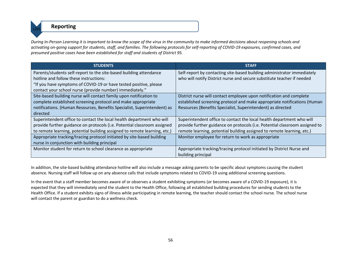**Reporting** 

*During In-Person Learning it is important to know the scope of the virus in the community to make informed decisions about reopening schools and activating on-going support for students, staff, and families. The following protocols for self-reporting of COVID-19 exposures, confirmed cases, and presumed positive cases have been established for staff and students of District 95.*

| <b>STUDENTS</b>                                                           | <b>STAFF</b>                                                                |  |
|---------------------------------------------------------------------------|-----------------------------------------------------------------------------|--|
| Parents/students self-report to the site-based building attendance        | Self-report by contacting site-based building administrator immediately     |  |
| hotline and follow these instructions:                                    | who will notify District nurse and secure substitute teacher if needed      |  |
| "If you have symptoms of COVID-19 or have tested positive, please         |                                                                             |  |
| contact your school nurse (provide number) immediately."                  |                                                                             |  |
| Site-based building nurse will contact family upon notification to        | District nurse will contact employee upon notification and complete         |  |
| complete established screening protocol and make appropriate              | established screening protocol and make appropriate notifications (Human    |  |
| notifications. (Human Resources, Benefits Specialist, Superintendent) as  | Resources (Benefits Specialist, Superintendent) as directed                 |  |
| directed                                                                  |                                                                             |  |
| Superintendent office to contact the local health department who will     | Superintendent office to contact the local health department who will       |  |
| provide further guidance on protocols (i.e. Potential classroom assigned  | provide further guidance on protocols (i.e. Potential classroom assigned to |  |
| to remote learning, potential building assigned to remote learning, etc.) | remote learning, potential building assigned to remote learning, etc.)      |  |
| Appropriate tracking/tracing protocol initiated by site-based building    | Monitor employee for return to work as appropriate                          |  |
| nurse in conjunction with building principal                              |                                                                             |  |
| Monitor student for return to school clearance as appropriate             | Appropriate tracking/tracing protocol initiated by District Nurse and       |  |
|                                                                           | building principal                                                          |  |

In addition, the site-based building attendance hotline will also include a message asking parents to be specific about symptoms causing the student absence. Nursing staff will follow up on any absence calls that include symptoms related to COVID-19 using additional screening questions.

In the event that a staff member becomes aware of or observes a student exhibiting symptoms (or becomes aware of a COVID-19 exposure), it is expected that they will immediately send the student to the Health Office, following all established building procedures for sending students to the Health Office. If a student exhibits signs of illness while participating in remote learning, the teacher should contact the school nurse. The school nurse will contact the parent or guardian to do a wellness check.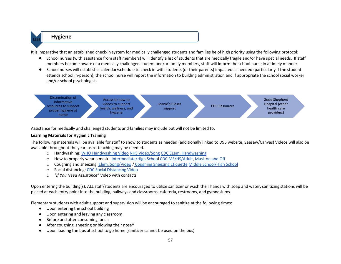### **Hygiene**

It is imperative that an established check-in system for medically challenged students and families be of high priority using the following protocol:

- School nurses (with assistance from staff members) will identify a list of students that are medically fragile and/or have special needs. If staff members become aware of a medically challenged student and/or family members, staff will inform the school nurse in a timely manner.
- School nurses will establish a calendar/schedule to check in with students (or their parents) impacted as needed (particularly if the student attends school in-person); the school nurse will report the information to building administration and if appropriate the school social worker and/or school psychologist.

Dissemination of Access to how to Good Shepherd informative videos to support Joanie's Closet Hospital (other resources to support support CDC Resources health, wellness, and health care proper hygiene at hygiene providers)home

Assistance for medically and challenged students and families may include but will not be limited to:

#### **Learning Materials for Hygienic Training**

The following materials will be available for staff to show to students as needed (additionally linked to D95 website, Seesaw/Canvas) Videos will also be available throughout the year, as re-teaching may be needed.

- o Handwashing: [WHO Handwashing Video](https://www.youtube.com/watch?v=3PmVJQUCm4E) [NHS Video/Song](https://www.youtube.com/watch?v=S9VjeIWLnEg) [CDC ELem. Handwashing](https://www.youtube.com/watch?v=qJG72sycQB8)
- o How to properly wear a mask: [Intermediate/High School](https://www.youtube.com/watch?v=eVJbenwzR1s) [CDC MS/HS/Adult,](https://www.youtube.com/watch?v=ML3n1c0FHDI) [Mask on and Off](https://www.youtube.com/watch?v=o_k7VBV3czw)
- o Coughing and sneezing: [Elem. Song/Video](https://www.youtube.com/watch?v=DG4n0r8-UPA) / [Coughing Sneezing Etiquette](https://www.youtube.com/watch?v=kR_QiBBjzG4) [Middle School/High School](https://www.youtube.com/watch?v=J2jbEetZ8G4)
- o Social distancing[: CDC Social Distancing Video](https://www.youtube.com/watch?v=GDDDz89EhSU)
- o *"If You Need Assistance"* Video with contacts

Upon entering the building(s), ALL staff/students are encouraged to utilize sanitizer or wash their hands with soap and water; sanitizing stations will be placed at each entry point into the building, hallways and classrooms, cafeteria, restrooms, and gymnasiums.

Elementary students with adult support and supervision will be encouraged to sanitize at the following times:

- Upon entering the school building
- Upon entering and leaving any classroom
- Before and after consuming lunch
- After coughing, sneezing or blowing their nose\*
- Upon loading the bus at school to go home (sanitizer cannot be used on the bus)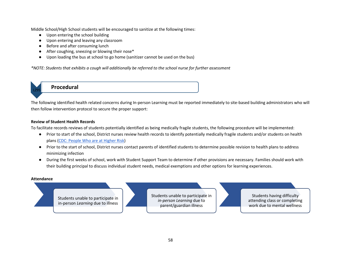Middle School/High School students will be encouraged to sanitize at the following times:

- Upon entering the school building
- Upon entering and leaving any classroom
- Before and after consuming lunch
- After coughing, sneezing or blowing their nose\*
- Upon loading the bus at school to go home (sanitizer cannot be used on the bus)

*\*NOTE: Students that exhibits a cough will additionally be referred to the school nurse for further assessment*

**Procedural** 

The following identified health related concerns during In-person Learning must be reported immediately to site-based building administrators who will then follow intervention protocol to secure the proper support:

#### **Review of Student Health Records**

To facilitate records reviews of students potentially identified as being medically fragile students, the following procedure will be implemented:

- Prior to start of the school, District nurses review health records to identify potentially medically fragile students and/or students on health plans [\(CDC: People Who are at Higher Risk\)](https://www.cdc.gov/coronavirus/2019-ncov/need-extra-precautions/people-at-higher-risk.html)
- Prior to the start of school, District nurses contact parents of identified students to determine possible revision to health plans to address minimizing infection
- During the first weeks of school, work with Student Support Team to determine if other provisions are necessary. Families should work with their building principal to discuss individual student needs, medical exemptions and other options for learning experiences.

#### **Attendance**

Students unable to participate in in-person *Learning* due to illness

Students unable to participate in *in-person Learning* due to parent/guardian illness

Students having difficulty attending class or completing work due to mental wellness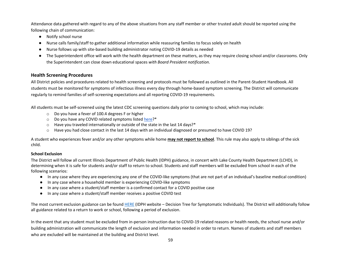Attendance data gathered with regard to any of the above situations from any staff member or other trusted adult should be reported using the following chain of communication:

- Notify school nurse
- Nurse calls family/staff to gather additional information while reassuring families to focus solely on health
- Nurse follows up with site-based building administrator noting COVID-19 details as needed
- The Superintendent office will work with the health department on these matters, as they may require closing school and/or classrooms. Only the Superintendent can close down educational spaces *with Board President notification*.

#### **Health Screening Procedures**

All District policies and procedures related to health screening and protocols must be followed as outlined in the Parent-Student Handbook. All students must be monitored for symptoms of infectious illness every day through home-based symptom screening. The District will communicate regularly to remind families of self-screening expectations and all reporting COVID-19 requirements.

All students must be self-screened using the latest CDC screening questions daily prior to coming to school, which may include:

- o Do you have a fever of 100.4 degrees F or higher
- o Do you have any COVID related symptoms liste[d here?](https://www.cdc.gov/coronavirus/2019-ncov/symptoms-testing/symptoms.html)\*
- o Have you traveled internationally or outside of the state in the last 14 days?\*
- o Have you had close contact in the last 14 days with an individual diagnosed or presumed to have COVID 19?

A student who experiences fever and/or any other symptoms while home **may not report to school**. This rule may also apply to siblings of the sick child.

#### **School Exclusion**

The District will follow all current Illinois Department of Public Health (IDPH) guidance, in concert with Lake County Health Department (LCHD), in determining when it is safe for students and/or staff to return to school. Students and staff members will be excluded from school in each of the following scenarios:

- In any case where they are experiencing any one of the COVID-like symptoms (that are not part of an individual's baseline medical condition)
- In any case where a household member is experiencing COVID-like symptoms
- In any case where a student/staff member is a confirmed contact for a COVID positive case
- In any case where a student/staff member receives a positive COVID test

The most current exclusion guidance can be foun[d HERE](http://dph.illinois.gov/covid19/community-guidance/school-guidance) (IDPH website – Decision Tree for Symptomatic Individuals). The District will additionally follow all guidance related to a return to work or school, following a period of exclusion.

In the event that any student must be excluded from in-person instruction due to COVID-19 related reasons or health needs, the school nurse and/or building administration will communicate the length of exclusion and information needed in order to return. Names of students and staff members who are excluded will be maintained at the building and District level.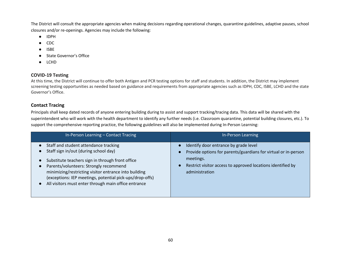The District will consult the appropriate agencies when making decisions regarding operational changes, quarantine guidelines, adaptive pauses, school closures and/or re-openings. Agencies may include the following:

- IDPH
- CDC
- ISBE
- State Governor's Office
- LCHD

#### **COVID-19 Testing**

At this time, the District will continue to offer both Antigen and PCR testing options for staff and students. In addition, the District may implement screening testing opportunities as needed based on guidance and requirements from appropriate agencies such as IDPH, CDC, ISBE, LCHD and the state Governor's Office.

#### **Contact Tracing**

Principals shall keep dated records of anyone entering building during to assist and support tracking/tracing data. This data will be shared with the superintendent who will work with the health department to identify any further needs (i.e. Classroom quarantine, potential building closures, etc.). To support the comprehensive reporting practice, the following guidelines will also be implemented during In-Person Learning:

| In-Person Learning - Contact Tracing                                                                                                                                                                                                                                                                                                                                   | In-Person Learning                                                                                                                                                                                    |
|------------------------------------------------------------------------------------------------------------------------------------------------------------------------------------------------------------------------------------------------------------------------------------------------------------------------------------------------------------------------|-------------------------------------------------------------------------------------------------------------------------------------------------------------------------------------------------------|
| Staff and student attendance tracking<br>Staff sign in/out (during school day)<br>Substitute teachers sign in through front office<br>Parents/volunteers: Strongly recommend<br>minimizing/restricting visitor entrance into building<br>(exceptions: IEP meetings, potential pick-ups/drop-offs)<br>All visitors must enter through main office entrance<br>$\bullet$ | Identify door entrance by grade level<br>Provide options for parents/guardians for virtual or in-person<br>meetings.<br>Restrict visitor access to approved locations identified by<br>administration |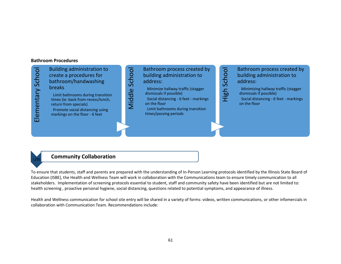#### **Bathroom Procedures**



### **Community Collaboration**

To ensure that students, staff and parents are prepared with the understanding of In-Person Learning protocols identified by the Illinois State Board of Education (ISBE), the Health and Wellness Team will work in collaboration with the Communications team to ensure timely communication to all stakeholders. Implementation of screening protocols essential to student, staff and community safety have been identified but are not limited to: health screening , proactive personal hygiene, social distancing, questions related to potential symptoms, and appearance of illness.

Health and Wellness communication for school site entry will be shared in a variety of forms: videos, written communications, or other infomercials in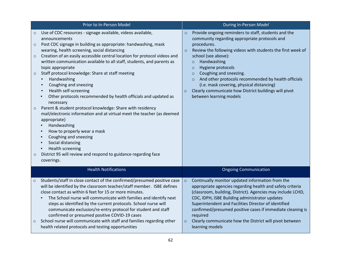| Prior to In-Person Model                                       |                                                                                                                                                                                                                                                                                                                                                                                                                                                                                                                                                                                                                                                                                                                                                                                                                                                                                                                                                                          | During In-Person Model |                                                                                                                                                                                                                                                                                                                                                                                                                                                                                                              |
|----------------------------------------------------------------|--------------------------------------------------------------------------------------------------------------------------------------------------------------------------------------------------------------------------------------------------------------------------------------------------------------------------------------------------------------------------------------------------------------------------------------------------------------------------------------------------------------------------------------------------------------------------------------------------------------------------------------------------------------------------------------------------------------------------------------------------------------------------------------------------------------------------------------------------------------------------------------------------------------------------------------------------------------------------|------------------------|--------------------------------------------------------------------------------------------------------------------------------------------------------------------------------------------------------------------------------------------------------------------------------------------------------------------------------------------------------------------------------------------------------------------------------------------------------------------------------------------------------------|
| $\circ$<br>$\circ$<br>$\circ$<br>$\circ$<br>$\circ$<br>$\circ$ | Use of CDC resources - signage available, videos available,<br>announcements<br>Post CDC signage in building as appropriate: handwashing, mask<br>wearing, health screening, social distancing<br>Creation of an easily accessible central location for protocol videos and<br>written communication available to all staff, students, and parents as<br>topic appropriate<br>Staff protocol knowledge: Share at staff meeting<br>Handwashing<br>$\blacksquare$<br>Coughing and sneezing<br>Health self-screening<br>٠<br>Other protocols recommended by health officials and updated as<br>٠<br>necessary<br>Parent & student protocol knowledge: Share with residency<br>mail/electronic information and at virtual meet the teacher (as deemed<br>appropriate)<br>Handwashing<br>How to properly wear a mask<br>Coughing and sneezing<br>Social distancing<br><b>Health screening</b><br>District 95 will review and respond to guidance regarding face<br>coverings. | $\circ$<br>$\circ$     | Provide ongoing reminders to staff, students and the<br>community regarding appropriate protocols and<br>procedures.<br>Review the following videos with students the first week of<br>school (see above):<br>Handwashing<br>$\circ$<br>Hygiene protocols<br>$\circ$<br>Coughing and sneezing.<br>$\circ$<br>And other protocols recommended by health officials<br>$\circ$<br>(i.e. mask covering, physical distancing)<br>Clearly communicate how District buildings will pivot<br>between learning models |
|                                                                | <b>Health Notifications</b>                                                                                                                                                                                                                                                                                                                                                                                                                                                                                                                                                                                                                                                                                                                                                                                                                                                                                                                                              |                        | <b>Ongoing Communication</b>                                                                                                                                                                                                                                                                                                                                                                                                                                                                                 |
| $\circ$<br>$\circ$                                             | Students/staff in close contact of the confirmed/presumed positive case<br>will be identified by the classroom teacher/staff member. ISBE defines<br>close contact as within 6 feet for 15 or more minutes.<br>The School nurse will communicate with families and identify next<br>steps as identified by the current protocols. School nurse will<br>communicate exclusion/re-entry protocol for student and staff<br>confirmed or presumed positive COVID-19 cases<br>School nurse will communicate with staff and families regarding other<br>health related protocols and testing opportunities                                                                                                                                                                                                                                                                                                                                                                     | $\circ$<br>$\circ$     | Continually monitor updated information from the<br>appropriate agencies regarding health and safety criteria<br>(classroom, building, District). Agencies may include LCHD,<br>CDC, IDPH, ISBE Building administrator updates<br>Superintendent and Facilities Director of identified<br>confirmed/presumed positive cases if immediate cleaning is<br>required<br>Clearly communicate how the District will pivot between<br>learning models                                                               |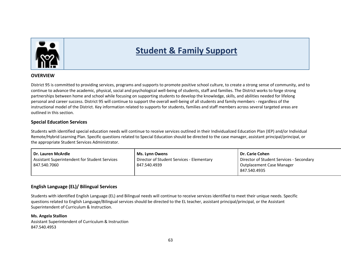

## **Student & Family Support**

#### **OVERVIEW**

District 95 is committed to providing services, programs and supports to promote positive school culture, to create a strong sense of community, and to continue to advance the academic, physical, social and psychological well-being of students, staff and families. The District works to forge strong partnerships between home and school while focusing on supporting students to develop the knowledge, skills, and abilities needed for lifelong personal and career success. District 95 will continue to support the overall well-being of all students and family members - regardless of the instructional model of the District. Key information related to supports for students, families and staff members across several targeted areas are outlined in this section.

#### **Special Education Services**

Students with identified special education needs will continue to receive services outlined in their Individualized Education Plan (IEP) and/or Individual Remote/Hybrid Learning Plan. Specific questions related to Special Education should be directed to the case manager, assistant principal/principal, or the appropriate Student Services Administrator.

| <b>Ms. Lynn Owens</b>                     | Dr. Carie Cohen                          |
|-------------------------------------------|------------------------------------------|
| Director of Student Services - Elementary | Director of Student Services - Secondary |
| 847.540.4939                              | Outplacement Case Manager                |
|                                           | 847.540.4935                             |
|                                           |                                          |

#### **English Language (EL)/ Bilingual Services**

Students with identified English Language (EL) and Bilingual needs will continue to receive services identified to meet their unique needs. Specific questions related to English Language/Bilingual services should be directed to the EL teacher, assistant principal/principal, or the Assistant Superintendent of Curriculum & Instruction.

#### **Ms. Angela Stallion**

Assistant Superintendent of Curriculum & Instruction 847.540.4953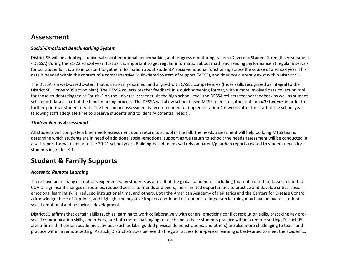## **Assessment**

#### *Social-Emotional Benchmarking System*

District 95 will be adopting a universal social-emotional benchmarking and progress monitoring system (Devereux Student Strengths Assessment - DESSA) during the 21-22 school year. Just as it is important to get regular information about math and reading performance at regular intervals for our students, it is also important to gather information about students' social-emotional functioning across the course of a school year. This data is needed within the context of a comprehensive Multi-tiered System of Support (MTSS), and does not currently exist within District 95.

The DESSA is a web-based system that is nationally-normed, and aligned with CASEL competencies (those skills recognized as integral to the District SEL Forward95 action plan). The DESSA collects teacher feedback in a quick screening format, with a more involved data collection tool for those students flagged as "at-risk" on the universal screener. At the high school level, the DESSA collects teacher feedback as well as student self-report data as part of the benchmarking process. The DESSA will allow school-based MTSS teams to gather data on *all students* in order to further prioritize student needs. The benchmark assessment is recommended for implementation 4-6 weeks after the start of the school year (allowing staff adequate time to observe students and to identify potential needs).

#### *Student Needs Assessment*

All students will complete a brief needs assessment upon return to school in the fall. The needs assessment will help building MTSS teams determine which students are in need of additional social-emotional support as we return to school; the needs assessment will be conducted in a self-report format (similar to the 20-21 school year). Building-based teams will rely on parent/guardian reports related to student needs for students in grades K-1.

## **Student & Family Supports**

#### *Access to Remote Learning*

There have been many disruptions experienced by students as a result of the global pandemic - including (but not limited to) losses related to COVID, significant changes in routines, reduced access to friends and peers, more limited opportunities to practice and develop critical socialemotional learning skills, reduced instructional time, and others. Both the American Academy of Pediatrics and the Centers for Disease Control acknowledge these disruptions, and highlight the negative impacts continued disruptions to in-person learning may have on overall student social-emotional and behavioral development.

District 95 affirms that certain skills (such as learning to work collaboratively with others, practicing conflict resolution skills, practicing key prosocial communication skills, and others) are both more challenging to teach and to have students practice within a remote setting. District 95 also affirms that certain academic activities (such as labs, guided physical demonstrations, and others) are also more challenging to teach and practice within a remote setting. As such, District 95 does believe that regular access to in-person learning is best-suited to meet the academic,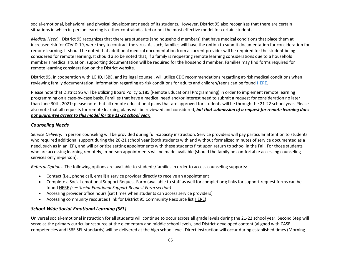social-emotional, behavioral and physical development needs of its students. However, District 95 also recognizes that there are certain situations in which in-person learning is either contraindicated or not the most effective model for certain students.

*Medical Need.* District 95 recognizes that there are students (and household members) that have medical conditions that place them at increased risk for COVID-19, were they to contract the virus. As such, families will have the option to submit documentation for consideration for remote learning. It should be noted that additional medical documentation from a current provider will be required for the student being considered for remote learning. It should also be noted that, if a family is requesting remote learning considerations due to a household member's medical situation, supporting documentation will be required for the household member. Families may find forms required for remote learning consideration on the District website.

District 95, in cooperation with LCHD, ISBE, and its legal counsel, will utilize CDC recommendations regarding at-risk medical conditions when reviewing family documentation. Information regarding at-risk conditions for adults and children/teens can be found [HERE.](https://www.cdc.gov/coronavirus/2019-ncov/need-extra-precautions/people-with-medical-conditions.html)

Please note that District 95 will be utilizing Board Policy 6.185 (Remote Educational Programming) in order to implement remote learning programming on a case-by-case basis. Families that have a medical need and/or interest need to submit a request for consideration no later than June 30th, 2021; please note that all remote educational plans that are approved for students will be through the 21-22 school year. Please also note that all requests for remote learning plans will be reviewed and considered, *but that submission of a request for remote learning does not guarantee access to this model for the 21-22 school year.*

#### *Counseling Needs*

*Service Delivery.* In person counseling will be provided during full-capacity instruction. Service providers will pay particular attention to students who required additional support during the 20-21 school year (both students with and without formalized minutes of service documented as a need, such as in an IEP), and will prioritize setting appointments with these students first upon return to school in the Fall. For those students who are accessing learning remotely, in-person appointments will be made available (should the family be comfortable accessing counseling services only in-person).

*Referral Options.* The following options are available to students/families in order to access counseling supports:

- Contact (i.e., phone call, email) a service provider directly to receive an appointment
- Complete a Social-emotional Support Request Form (available to staff as well for completion); links for support request forms can be found [HERE](https://www.lz95.org/2020-21-school-year/social-emotional-support) *(see Social-Emotional Support Request Form section)*
- Accessing provider office hours (set times when students can access service providers)
- Accessing community resources (link for District 95 Community Resource list [HERE\)](https://docs.google.com/document/d/1qCuucG9eQWvb5smqBy2UskcCxrQz2yomZyaHfL8k6dY/edit)

#### *School-Wide Social-Emotional Learning (SEL)*

Universal social-emotional instruction for all students will continue to occur across all grade levels during the 21-22 school year. Second Step will serve as the primary curricular resource at the elementary and middle school levels, and District-developed content (aligned with CASEL competencies and ISBE SEL standards) will be delivered at the high school level. Direct instruction will occur during established times (Morning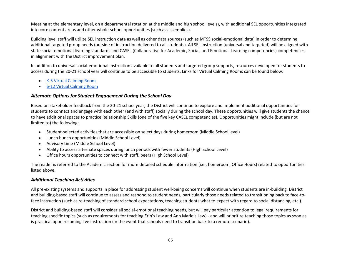Meeting at the elementary level, on a departmental rotation at the middle and high school levels), with additional SEL opportunities integrated into core content areas and other whole-school opportunities (such as assemblies).

Building level staff will utilize SEL instruction data as well as other data sources (such as MTSS social-emotional data) in order to determine additional targeted group needs (outside of instruction delivered to all students). All SEL instruction (universal and targeted) will be aligned with state social-emotional learning standards and CASEL (Collaborative for Academic, Social, and Emotional Learning competencies) competencies, in alignment with the District improvement plan.

In addition to universal social-emotional instruction available to all students and targeted group supports, resources developed for students to access during the 20-21 school year will continue to be accessible to students. Links for Virtual Calming Rooms can be found below:

- [K-5 Virtual Calming Room](https://sites.google.com/lz95.net/d95virtualcalmingroom/home)
- [6-12 Virtual Calming Room](https://sites.google.com/lz95.net/d95-virtual-calming-room/home)

#### *Alternate Options for Student Engagement During the School Day*

Based on stakeholder feedback from the 20-21 school year, the District will continue to explore and implement additional opportunities for students to connect and engage with each other (and with staff) socially during the school day. These opportunities will give students the chance to have additional spaces to practice Relationship Skills (one of the five key CASEL competencies). Opportunities might include (but are not limited to) the following:

- Student-selected activities that are accessible on select days during homeroom (Middle School level)
- Lunch bunch opportunities (Middle School Level)
- Advisory time (Middle School Level)
- Ability to access alternate spaces during lunch periods with fewer students (High School Level)
- Office hours opportunities to connect with staff, peers (High School Level)

The reader is referred to the Academic section for more detailed schedule information (i.e., homeroom, Office Hours) related to opportunities listed above.

#### *Additional Teaching Activities*

All pre-existing systems and supports in place for addressing student well-being concerns will continue when students are in-building. District and building-based staff will continue to assess and respond to student needs, particularly those needs related to transitioning back to face-toface instruction (such as re-teaching of standard school expectations, teaching students what to expect with regard to social distancing, etc.).

District and building-based staff will consider all social-emotional teaching needs, but will pay particular attention to legal requirements for teaching specific topics (such as requirements for teaching Erin's Law and Ann Marie's Law) - and will prioritize teaching those topics as soon as is practical upon resuming live instruction (in the event that schools need to transition back to a remote scenario).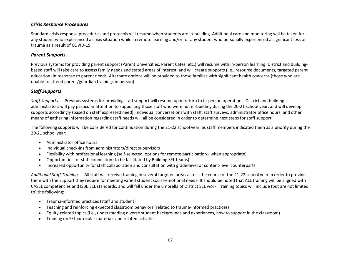#### *Crisis Response Procedures*

Standard crisis response procedures and protocols will resume when students are in-building. Additional care and monitoring will be taken for any student who experienced a crisis situation while in remote learning and/or for any student who personally experienced a significant loss or trauma as a result of COVID-19.

#### *Parent Supports*

Previous systems for providing parent support (Parent Universities, Parent Cafes, etc.) will resume with in-person learning. District and buildingbased staff will take care to assess family needs and stated areas of interest, and will create supports (i.e., resource documents, targeted parent education) in response to parent needs. Alternate options will be provided to those families with significant health concerns (those who are unable to attend parent/guardian trainings in person).

#### *Staff Supports*

*Staff Supports.* Previous systems for providing staff support will resume upon return to in-person operations. District and building administrators will pay particular attention to supporting those staff who were not in-building during the 20-21 school year, and will develop supports accordingly (based on staff expressed need). Individual conversations with staff, staff surveys, administrator office hours, and other means of gathering information regarding staff needs will all be considered in order to determine next steps for staff support.

The following supports will be considered for continuation during the 21-22 school year, as staff members indicated them as a priority during the 20-21 school year:

- Administrator office hours
- Individual check-ins from administrators/direct supervisors
- Flexibility with professional learning (self-selected, options for remote participation when appropriate)
- Opportunities for staff connection (to be facilitated by Building SEL teams)
- Increased opportunity for staff collaboration and consultation with grade-level or content-level counterparts

*Additional Staff Training.* All staff will receive training in several targeted areas across the course of the 21-22 school year in order to provide them with the support they require for meeting varied student social-emotional needs. It should be noted that ALL training will be aligned with CASEL competencies and ISBE SEL standards, and will fall under the umbrella of District SEL work. Training topics will include (but are not limited to) the following:

- Trauma-informed practices (staff and student)
- Teaching and reinforcing expected classroom behaviors (related to trauma-informed practices)
- Equity-related topics (i.e., understanding diverse student backgrounds and experiences, how to support in the classroom)
- Training on SEL curricular materials and related activities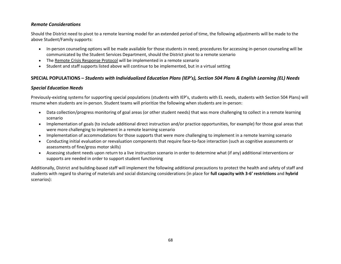#### *Remote Considerations*

Should the District need to pivot to a remote learning model for an extended period of time, the following adjustments will be made to the above Student/Family supports:

- In-person counseling options will be made available for those students in need; procedures for accessing in-person counseling will be communicated by the Student Services Department, should the District pivot to a remote scenario
- The [Remote Crisis Response Protocol](https://docs.google.com/document/d/1hQxVcUHVpTTMiAPzaS7aUKinlHzDQVsg96xIdMxV8Z0/edit?usp=sharing) will be implemented in a remote scenario
- Student and staff supports listed above will continue to be implemented, but in a virtual setting

#### **SPECIAL POPULATIONS –** *Students with Individualized Education Plans (IEP's), Section 504 Plans & English Learning (EL) Needs*

#### *Special Education Needs*

Previously-existing systems for supporting special populations (students with IEP's, students with EL needs, students with Section 504 Plans) will resume when students are in-person. Student teams will prioritize the following when students are in-person:

- Data collection/progress monitoring of goal areas (or other student needs) that was more challenging to collect in a remote learning scenario
- Implementation of goals (to include additional direct instruction and/or practice opportunities, for example) for those goal areas that were more challenging to implement in a remote learning scenario
- Implementation of accommodations for those supports that were more challenging to implement in a remote learning scenario
- Conducting initial evaluation or reevaluation components that require face-to-face interaction (such as cognitive assessments or assessments of fine/gross motor skills)
- Assessing student needs upon return to a live instruction scenario in order to determine what (if any) additional interventions or supports are needed in order to support student functioning

Additionally, District and building-based staff will implement the following additional precautions to protect the health and safety of staff and students with regard to sharing of materials and social distancing considerations (in place for **full capacity with 3-6' restrictions** and **hybrid**  scenarios):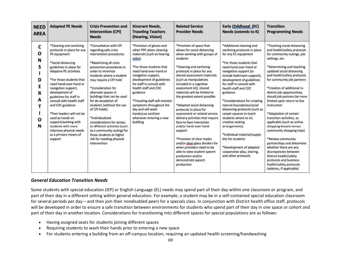| <b>NEED</b><br><b>AREA</b>                     | <b>Adapted PE Needs</b>                                                                                                                                                                                                                                                                                                                                                                                                                                                                     | <b>Crisis Prevention and</b><br><b>Intervention (CPI)</b><br><b>Needs</b>                                                                                                                                                                                                                                                                                                                                                                                                                                                                             | <b>Itinerant Needs,</b><br><b>Traveling Teachers</b><br>(Hearing, Vision)                                                                                                                                                                                                                                                                                                                                             | <b>Related Service</b><br><b>Provider Needs</b>                                                                                                                                                                                                                                                                                                                                                                                                                                                                                                                                                                                                                                                                                | Early Childhood (EC)<br>Needs (extends to K)                                                                                                                                                                                                                                                                                                                                                                                                                                                                                                                                                                              | <b>Transition</b><br><b>Programming Needs</b>                                                                                                                                                                                                                                                                                                                                                                                                                                                                                                                                                                                                                                                                                             |
|------------------------------------------------|---------------------------------------------------------------------------------------------------------------------------------------------------------------------------------------------------------------------------------------------------------------------------------------------------------------------------------------------------------------------------------------------------------------------------------------------------------------------------------------------|-------------------------------------------------------------------------------------------------------------------------------------------------------------------------------------------------------------------------------------------------------------------------------------------------------------------------------------------------------------------------------------------------------------------------------------------------------------------------------------------------------------------------------------------------------|-----------------------------------------------------------------------------------------------------------------------------------------------------------------------------------------------------------------------------------------------------------------------------------------------------------------------------------------------------------------------------------------------------------------------|--------------------------------------------------------------------------------------------------------------------------------------------------------------------------------------------------------------------------------------------------------------------------------------------------------------------------------------------------------------------------------------------------------------------------------------------------------------------------------------------------------------------------------------------------------------------------------------------------------------------------------------------------------------------------------------------------------------------------------|---------------------------------------------------------------------------------------------------------------------------------------------------------------------------------------------------------------------------------------------------------------------------------------------------------------------------------------------------------------------------------------------------------------------------------------------------------------------------------------------------------------------------------------------------------------------------------------------------------------------------|-------------------------------------------------------------------------------------------------------------------------------------------------------------------------------------------------------------------------------------------------------------------------------------------------------------------------------------------------------------------------------------------------------------------------------------------------------------------------------------------------------------------------------------------------------------------------------------------------------------------------------------------------------------------------------------------------------------------------------------------|
| C<br>О<br>N<br>s<br>D<br>Ε<br>R<br>А<br>O<br>N | *Cleaning and sanitizing<br>protocols in place for any<br>PE equipment<br>*Social distancing<br>guidelines in place for<br>Adaptive PE activities<br>*For those students that<br>need hand-over-hand or<br>navigation support,<br>development of<br>guidelines for staff in<br>consult with health staff<br>and CDC guidance<br>*Peer leaders will not be<br>used as hands on<br>support/working with<br>students with more<br>intensive physical needs<br>as a primary means of<br>support | *Consultation with CPI<br>regarding safe crisis<br>intervention procedures<br>*Maximizing all crisis<br>prevention procedures in<br>order to minimize<br>incidents where a student<br>may require a CPI hold<br>*Consideration for<br>alternate spaces in<br>buildings that can be used<br>for de-escalation of<br>students (without the use<br>of CPI holds)<br>*Individualized<br>considerations for access<br>to different activities (such<br>as a community outing) for<br>those students at higher<br>risk for needing physical<br>intervention | *Provision of gloves and<br>other PPE when cleaning<br>materials (such as hearing<br>aides)<br>*For those students that<br>need hand-over-hand or<br>navigation support,<br>development of guidelines<br>for staff in consult with<br>health staff and CDC<br>guidance<br>*Traveling staff will monitor<br>symptoms throughout the<br>day and will wash<br>hands/use sanitizer<br>whenever entering a new<br>building | *Provision of space that<br>allows for social distancing<br>when working with groups of<br>students<br>*Cleaning and sanitizing<br>protocols in place for any<br>shared assessment materials<br>(such as manipulatives<br>included in a cognitive<br>assessment kit); shared<br>materials will be limited to<br>the greatest extent possible<br>*Adapted social distancing<br>protocols in place for<br>assessment or related service<br>delivery activities that require<br>face-to-face interaction<br>and/or hand-over-hand<br>support<br>*Provision of clear masks<br>and/or plexi-glass dividers for<br>when providers need to be<br>able to view student speech<br>production and/or<br>demonstrate speech<br>production | *Additional cleaning and<br>sanitizing protocols in place<br>for any EC equipment<br>*For those students that<br>need hand-over-hand or<br>navigation support (to<br>include bathroom support),<br>development of guidelines<br>for staff in consult with<br>health staff and CDC<br>guidance<br>*Considerations for creating<br>natural boundaries/social<br>distancing protocols (such as<br>carpet squares to teach<br>students where to sit.<br>creative seating<br>arrangements)<br>*Individual material/supply<br>kits for students<br>*Development of adapted<br>cooperative play, sharing,<br>and other protocols | *Teaching social distancing<br>and health/safety protocols<br>for community outings, job<br>settings, etc.<br>*Determining and teaching<br>updated social distancing<br>and health/safety protocols<br>for community job partners<br>*Creation of additional in-<br>district job opportunities,<br>should job partners be more<br>limited upon return to live<br>instruction<br>*Adaptation of certain<br>transition activities, as<br>applicable (such as online<br>shopping lessons versus<br>community shopping trips)<br>*Review community<br>partnerships and determine<br>whether there are any<br>discrepancies between<br>District health/safety<br>protocols and business<br>health/safety protocols<br>(address, if applicable) |

#### *General Education Transition Needs*

Some students with special education (IEP) or English Language (EL) needs may spend part of their day within one classroom or program, and part of their day in a different setting within general education. For example, a student may be in a self-contained special education classroom for several periods per day – and then join their nondisabled peers for a specials class. In conjunction with District health office staff, protocols will be developed in order to ensure a safe transition between environments for students who spend part of their day in one space or cohort and part of their day in another location. Considerations for transitioning into different spaces for special populations are as follows:

- Having assigned seats for students joining different spaces
- Requiring students to wash their hands prior to entering a new space
- For students entering a building from an off-campus location, requiring an updated health screening/handwashing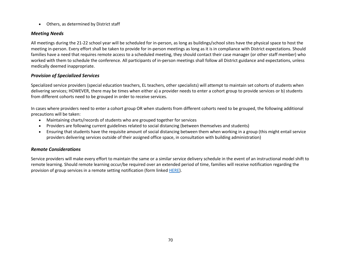• Others, as determined by District staff

### *Meeting Needs*

All meetings during the 21-22 school year will be scheduled for in-person, as long as buildings/school sites have the physical space to host the meeting in-person. Every effort shall be taken to provide for in-person meetings as long as it is in compliance with District expectations. Should families have a need that requires remote access to a scheduled meeting, they should contact their case manager (or other staff member) who worked with them to schedule the conference. All participants of in-person meetings shall follow all District guidance and expectations, unless medically deemed inappropriate.

### *Provision of Specialized Services*

Specialized service providers (special education teachers, EL teachers, other specialists) will attempt to maintain set cohorts of students when delivering services; HOWEVER, there may be times when either a) a provider needs to enter a cohort group to provide services or b) students from different cohorts need to be grouped in order to receive services.

In cases where providers need to enter a cohort group OR when students from different cohorts need to be grouped, the following additional precautions will be taken:

- Maintaining charts/records of students who are grouped together for services
- Providers are following current guidelines related to social distancing (between themselves and students)
- Ensuring that students have the requisite amount of social distancing between them when working in a group (this might entail service providers delivering services outside of their assigned office space, in consultation with building administration)

#### *Remote Considerations*

Service providers will make every effort to maintain the same or a similar service delivery schedule in the event of an instructional model shift to remote learning. Should remote learning occur/be required over an extended period of time, families will receive notification regarding the provision of group services in a remote setting notification (form linke[d HERE\)](https://docs.google.com/document/d/1xZyyV-rf6CFi9mLXDF57m8YFGCTHtOkD/edit).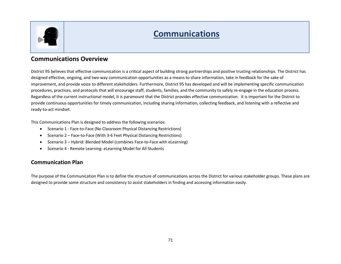

## **Communications**

## **Communications Overview**

District 95 believes that effective communication is a critical aspect of building strong partnerships and positive trusting relationships. The District has designed effective, ongoing, and two-way communication opportunities as a means to share information, take in feedback for the sake of improvement, and provide voice to different stakeholders. Furthermore, District 95 has developed and will be implementing specific communication procedures, practices, and protocols that will encourage staff, students, families, and the community to safely re-engage in the education process. Regardless of the current instructional model, it is paramount that the District provides effective communication. It is important for the District to provide continuous opportunities for timely communication, including sharing information, collecting feedback, and listening with a reflective and ready-to-act mindset.

This Communications Plan is designed to address the following scenarios:

- Scenario 1 Face-to-Face (No Classroom Physical Distancing Restrictions)
- Scenario 2 Face-to-Face (With 3-6 Feet Physical Distancing Restrictions)
- Scenario 3 Hybrid: Blended Model (combines Face-to-Face with eLearning)
- Scenario 4 Remote Learning: eLearning Model for All Students

### **Communication Plan**

The purpose of the Communication Plan is to define the structure of communications across the District for various stakeholder groups. These plans are designed to provide some structure and consistency to assist stakeholders in finding and accessing information easily.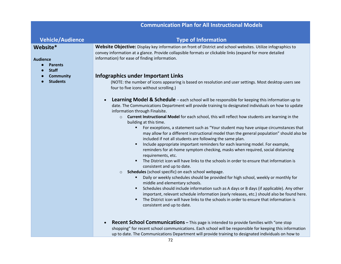## **Communication Plan for All Instructional Models**

#### **Vehicle/Audience Type of Information Website\* Audience** ● **Parents** ● **Staff** ● **Community** ● **Students Website Objective:** Display key information on front of District and school websites. Utilize infographics to convey information at a glance. Provide collapsible formats or clickable links (expand for more detailed information) for ease of finding information. **Infographics under Important Links** (NOTE: the number of icons appearing is based on resolution and user settings. Most desktop users see four to five icons without scrolling.) • **Learning Model & Schedule** – each school will be responsible for keeping this information up to date. The Communications Department will provide training to designated individuals on how to update information through Finalsite. o **Current Instructional Model** for each school, this will reflect how students are learning in the building at this time. ▪ For exceptions, a statement such as "Your student may have unique circumstances that may allow for a different instructional model than the general population" should also be included if not all students are following the same plan. ■ Include appropriate important reminders for each learning model. For example, reminders for at-home symptom checking, masks when required, social distancing requirements, etc. ■ The District icon will have links to the schools in order to ensure that information is consistent and up to date. o **Schedules** (school specific) on each school webpage. **■** Daily or weekly schedules should be provided for high school, weekly or monthly for middle and elementary schools. **EXECT** Schedules should include information such as A days or B days (if applicable). Any other

- important, relevant schedule information (early releases, etc.) should also be found here. **•** The District icon will have links to the schools in order to ensure that information is consistent and up to date.
- **Recent School Communications –** This page is intended to provide families with "one stop shopping" for recent school communications. Each school will be responsible for keeping this information up to date. The Communications Department will provide training to designated individuals on how to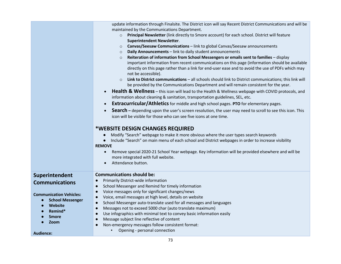|                                                                                                                 | update information through Finalsite. The District icon will say Recent District Communications and will be     |  |  |  |  |  |
|-----------------------------------------------------------------------------------------------------------------|-----------------------------------------------------------------------------------------------------------------|--|--|--|--|--|
|                                                                                                                 | maintained by the Communications Department.                                                                    |  |  |  |  |  |
|                                                                                                                 | Principal Newsletter (link directly to Smore account) for each school. District will feature<br>$\circ$         |  |  |  |  |  |
|                                                                                                                 | <b>Superintendent Newsletter.</b>                                                                               |  |  |  |  |  |
|                                                                                                                 | Canvas/Seesaw Communications - link to global Canvas/Seesaw announcements<br>$\circ$                            |  |  |  |  |  |
|                                                                                                                 | Daily Announcements - link to daily student announcements<br>$\circ$                                            |  |  |  |  |  |
|                                                                                                                 | Reiteration of information from School Messengers or emails sent to families - display<br>$\circ$               |  |  |  |  |  |
|                                                                                                                 | important information from recent communications on this page (information should be available                  |  |  |  |  |  |
|                                                                                                                 | directly on this page rather than a link for end-user ease and to avoid the use of PDFs which may               |  |  |  |  |  |
|                                                                                                                 | not be accessible).                                                                                             |  |  |  |  |  |
|                                                                                                                 | Link to District communications - all schools should link to District communications; this link will<br>$\circ$ |  |  |  |  |  |
|                                                                                                                 | be provided by the Communications Department and will remain consistent for the year.                           |  |  |  |  |  |
| Health & Wellness - this icon will lead to the Health & Wellness webpage with COVID protocols, and<br>$\bullet$ |                                                                                                                 |  |  |  |  |  |
|                                                                                                                 | information about cleaning & sanitation, transportation guidelines, SEL, etc.                                   |  |  |  |  |  |
|                                                                                                                 | <b>Extracurricular/Athletics</b> for middle and high school pages. PTO for elementary pages.<br>$\bullet$       |  |  |  |  |  |
|                                                                                                                 | <b>Search</b> – depending upon the user's screen resolution, the user may need to scroll to see this icon. This |  |  |  |  |  |
|                                                                                                                 | icon will be visible for those who can see five icons at one time.                                              |  |  |  |  |  |
|                                                                                                                 |                                                                                                                 |  |  |  |  |  |
|                                                                                                                 | *WEBSITE DESIGN CHANGES REQUIRED                                                                                |  |  |  |  |  |
|                                                                                                                 | Modify "Search" webpage to make it more obvious where the user types search keywords                            |  |  |  |  |  |
|                                                                                                                 | Include "Search" on main menu of each school and District webpages in order to increase visibility<br>$\bullet$ |  |  |  |  |  |
|                                                                                                                 | <b>REMOVE</b>                                                                                                   |  |  |  |  |  |
|                                                                                                                 | Remove special 2020-21 School Year webpage. Key information will be provided elsewhere and will be<br>$\bullet$ |  |  |  |  |  |
|                                                                                                                 | more integrated with full website.                                                                              |  |  |  |  |  |
|                                                                                                                 | Attendance button.<br>$\bullet$                                                                                 |  |  |  |  |  |
| Superintendent                                                                                                  | <b>Communications should be:</b>                                                                                |  |  |  |  |  |
| <b>Communications</b>                                                                                           | Primarily District-wide information<br>$\bullet$                                                                |  |  |  |  |  |
|                                                                                                                 | School Messenger and Remind for timely information<br>$\bullet$                                                 |  |  |  |  |  |
| <b>Communication Vehicles:</b>                                                                                  | Voice messages only for significant changes/news<br>$\bullet$                                                   |  |  |  |  |  |
| <b>School Messenger</b>                                                                                         | Voice, email messages at high level, details on website<br>$\bullet$                                            |  |  |  |  |  |
| Website                                                                                                         | School Messenger auto-translate used for all messages and languages<br>$\bullet$                                |  |  |  |  |  |
| Remind*                                                                                                         | Messages not to exceed 5000 char (auto translate maximum)<br>$\bullet$                                          |  |  |  |  |  |
| <b>Smore</b>                                                                                                    | Use infographics with minimal text to convey basic information easily<br>$\bullet$                              |  |  |  |  |  |
| Zoom                                                                                                            | Message subject line reflective of content<br>$\bullet$                                                         |  |  |  |  |  |
|                                                                                                                 | Non-emergency messages follow consistent format:<br>$\bullet$                                                   |  |  |  |  |  |
| <b>Audience:</b>                                                                                                | Opening - personal connection                                                                                   |  |  |  |  |  |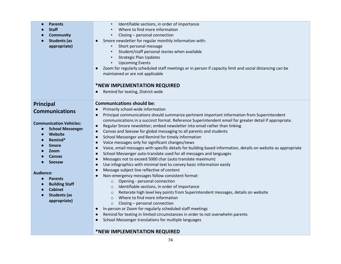| <b>Parents</b><br><b>Staff</b><br><b>Community</b><br><b>Students (as</b><br>appropriate)                                                                                                                                                                                                                                         | Identifiable sections, in order of importance<br>Where to find more information<br>Closing - personal connection<br>Smore newsletter for regular monthly information with:<br>$\bullet$<br>Short personal message<br>Student/staff personal stories when available<br><b>Strategic Plan Updates</b><br><b>Upcoming Events</b><br>Zoom for regularly scheduled staff meetings or in person if capacity limit and social distancing can be<br>$\bullet$<br>maintained or are not applicable<br>*NEW IMPLEMENTATION REQUIRED<br>Remind for texting, District-wide<br>$\bullet$                                                                                                                                                                                                                                                                                                                                                                                                                                                                                                                                                                                                                                                                                                                                                                                                                                                                                                                                                                                                                                                     |
|-----------------------------------------------------------------------------------------------------------------------------------------------------------------------------------------------------------------------------------------------------------------------------------------------------------------------------------|---------------------------------------------------------------------------------------------------------------------------------------------------------------------------------------------------------------------------------------------------------------------------------------------------------------------------------------------------------------------------------------------------------------------------------------------------------------------------------------------------------------------------------------------------------------------------------------------------------------------------------------------------------------------------------------------------------------------------------------------------------------------------------------------------------------------------------------------------------------------------------------------------------------------------------------------------------------------------------------------------------------------------------------------------------------------------------------------------------------------------------------------------------------------------------------------------------------------------------------------------------------------------------------------------------------------------------------------------------------------------------------------------------------------------------------------------------------------------------------------------------------------------------------------------------------------------------------------------------------------------------|
| <b>Principal</b>                                                                                                                                                                                                                                                                                                                  | <b>Communications should be:</b><br>Primarily school-wide information<br>$\bullet$                                                                                                                                                                                                                                                                                                                                                                                                                                                                                                                                                                                                                                                                                                                                                                                                                                                                                                                                                                                                                                                                                                                                                                                                                                                                                                                                                                                                                                                                                                                                              |
| <b>Communications</b><br><b>Communication Vehicles:</b><br><b>School Messenger</b><br>$\bullet$<br>Website<br>Remind*<br>$\bullet$<br><b>Smore</b><br>$\bullet$<br>Zoom<br><b>Canvas</b><br><b>Seesaw</b><br><b>Audience:</b><br><b>Parents</b><br><b>Building Staff</b><br><b>Cabinet</b><br><b>Students (as</b><br>appropriate) | Principal communications should summarize pertinent important information from Superintendent<br>$\bullet$<br>communications in a succinct format. Reference Superintendent email for greater detail if appropriate.<br>Regular Smore newsletter; embed newsletter into email rather than linking<br>$\bullet$<br>Canvas and Seesaw for global messaging to all parents and students<br>$\bullet$<br>School Messenger and Remind for timely information<br>$\bullet$<br>Voice messages only for significant changes/news<br>$\bullet$<br>Voice, email messages with specific details for building based information, details on website as appropriate<br>$\bullet$<br>School Messenger auto-translate used for all messages and languages<br>$\bullet$<br>Messages not to exceed 5000 char (auto translate maximum)<br>$\bullet$<br>Use infographics with minimal text to convey basic information easily<br>$\bullet$<br>Message subject line reflective of content<br>$\bullet$<br>Non-emergency messages follow consistent format:<br>$\bullet$<br>Opening - personal connection<br>$\circ$<br>Identifiable sections, in order of importance<br>$\circ$<br>Reiterate high level key points from Superintendent messages, details on website<br>$\circ$<br>Where to find more information<br>$\circ$<br>Closing - personal connection<br>$\circ$<br>In-person or Zoom for regularly scheduled staff meetings<br>$\bullet$<br>Remind for texting in limited circumstances in order to not overwhelm parents<br>$\bullet$<br>School Messenger translations for multiple languages<br>$\bullet$<br>*NEW IMPLEMENTATION REQUIRED |

#### 74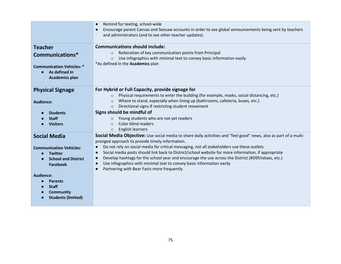|                                                                            | Remind for texting, school-wide<br>$\bullet$                                                                                                                                   |
|----------------------------------------------------------------------------|--------------------------------------------------------------------------------------------------------------------------------------------------------------------------------|
|                                                                            | Encourage parent Canvas and Seesaw accounts in order to see global announcements being sent by teachers<br>$\bullet$<br>and administrators (and to see other teacher updates). |
| <b>Teacher</b>                                                             | <b>Communications should include:</b>                                                                                                                                          |
| Communications*                                                            | Reiteration of key communication points from Principal<br>$\circ$                                                                                                              |
|                                                                            | Use infographics with minimal text to convey basic information easily<br>$\Omega$                                                                                              |
| <b>Communication Vehicles: *</b><br>As defined in<br><b>Academics plan</b> | *As defined in the <b>Academics</b> plan                                                                                                                                       |
| <b>Physical Signage</b>                                                    | For Hybrid or Full Capacity, provide signage for                                                                                                                               |
|                                                                            | Physical requirements to enter the building (for example, masks, social distancing, etc.)<br>$\Omega$                                                                          |
| <b>Audience:</b>                                                           | Where to stand, especially when lining up (bathrooms, cafeteria, buses, etc.)<br>$\circ$                                                                                       |
|                                                                            | Directional signs if restricting student movement<br>$\circ$                                                                                                                   |
| <b>Students</b>                                                            | Signs should be mindful of                                                                                                                                                     |
| <b>Staff</b>                                                               | Young students who are not yet readers<br>$\circ$                                                                                                                              |
| <b>Visitors</b>                                                            | Color blind readers<br>$\Omega$                                                                                                                                                |
|                                                                            | English learners<br>$\circ$                                                                                                                                                    |
| <b>Social Media</b>                                                        | Social Media Objective: Use social media to share daily activities and "feel good" news, also as part of a multi-                                                              |
|                                                                            | pronged approach to provide timely information.<br>Do not rely on social media for critical messaging, not all stakeholders use these outlets<br>$\bullet$                     |
| <b>Communication Vehicles:</b>                                             | Social media posts should link back to District/school website for more information, if appropriate<br>$\bullet$                                                               |
| <b>Twitter</b><br><b>School and District</b>                               | Develop hashtags for the school year and encourage the use across the District (#D95Values, etc.)<br>$\bullet$                                                                 |
| <b>Facebook</b>                                                            | Use infographics with minimal text to convey basic information easily<br>$\bullet$                                                                                             |
|                                                                            | Partnering with Bear Facts more frequently<br>$\bullet$                                                                                                                        |
| <b>Audience:</b>                                                           |                                                                                                                                                                                |
| <b>Parents</b>                                                             |                                                                                                                                                                                |
| <b>Staff</b>                                                               |                                                                                                                                                                                |
| <b>Community</b>                                                           |                                                                                                                                                                                |
| <b>Students (limited)</b>                                                  |                                                                                                                                                                                |
|                                                                            |                                                                                                                                                                                |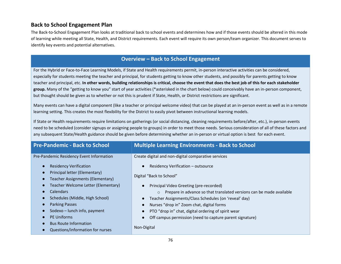#### **Back to School Engagement Plan**

The Back-to-School Engagement Plan looks at traditional back to school events and determines how and if those events should be altered in this mode of learning while meeting all State, Health, and District requirements. Each event will require its own person/team organizer. This document serves to identify key events and potential alternatives.

## **Overview – Back to School Engagement**

For the Hybrid or Face-to-Face Learning Models, if State and Health requirements permit, in-person interactive activities can be considered, especially for students meeting the teacher and principal, for students getting to know other students, and possibly for parents getting to know teacher and principal, etc. **In other words, building relationships is critical, choose the event that does the best job of this for each stakeholder group.** Many of the "getting to know you" start of year activities (\*asterisked in the chart below) could conceivably have an in-person component, but thought should be given as to whether or not this is prudent if State, Health, or District restrictions are significant.

Many events can have a digital component (like a teacher or principal welcome video) that can be played at an in-person event as well as in a remote learning setting. This creates the most flexibility for the District to easily pivot between instructional learning models.

If State or Health requirements require limitations on gatherings (or social distancing, cleaning requirements before/after, etc.), in-person events need to be scheduled (consider signups or assigning people to groups) in order to meet those needs. Serious consideration of all of these factors and any subsequent State/Health guidance should be given before determining whether an in-person or virtual option is best for each event.

| <b>Pre-Pandemic - Back to School</b>                                                   | <b>Multiple Learning Environments - Back to School</b>                                                                     |  |  |
|----------------------------------------------------------------------------------------|----------------------------------------------------------------------------------------------------------------------------|--|--|
| Pre-Pandemic Residency Event Information<br><b>Residency Verification</b>              | Create digital and non-digital comparative services<br>Residency Verification - outsource                                  |  |  |
| Principal letter (Elementary)<br>Teacher Assignments (Elementary)                      | Digital "Back to School"                                                                                                   |  |  |
| Teacher Welcome Letter (Elementary)<br>Calendars                                       | Principal Video Greeting (pre-recorded)<br>Prepare in advance so that translated versions can be made available<br>$\circ$ |  |  |
| Schedules (Middle, High School)<br><b>Parking Passes</b>                               | Teacher Assignments/Class Schedules (on 'reveal' day)<br>Nurses "drop in" Zoom chat, digital forms                         |  |  |
| Sodexo - lunch info, payment                                                           | PTO "drop in" chat, digital ordering of spirit wear                                                                        |  |  |
| <b>PE Uniforms</b><br><b>Bus Route Information</b><br>Questions/information for nurses | Off campus permission (need to capture parent signature)<br>Non-Digital                                                    |  |  |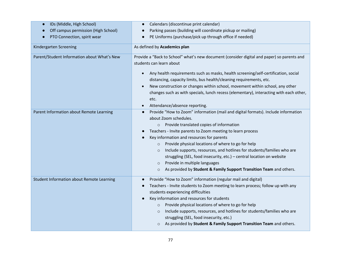| IDs (Middle, High School)                        | Calendars (discontinue print calendar)                                                                                                                                                                                                                                                                                                                                                                                                                                                                                                                                                                                            |  |  |  |
|--------------------------------------------------|-----------------------------------------------------------------------------------------------------------------------------------------------------------------------------------------------------------------------------------------------------------------------------------------------------------------------------------------------------------------------------------------------------------------------------------------------------------------------------------------------------------------------------------------------------------------------------------------------------------------------------------|--|--|--|
| Off campus permission (High School)              | Parking passes (building will coordinate pickup or mailing)                                                                                                                                                                                                                                                                                                                                                                                                                                                                                                                                                                       |  |  |  |
| PTO Connection, spirit wear                      | PE Uniforms (purchase/pick up through office if needed)                                                                                                                                                                                                                                                                                                                                                                                                                                                                                                                                                                           |  |  |  |
| Kindergarten Screening                           | As defined by Academics plan                                                                                                                                                                                                                                                                                                                                                                                                                                                                                                                                                                                                      |  |  |  |
| Parent/Student Information about What's New      | Provide a "Back to School" what's new document (consider digital and paper) so parents and<br>students can learn about                                                                                                                                                                                                                                                                                                                                                                                                                                                                                                            |  |  |  |
|                                                  | Any health requirements such as masks, health screening/self-certification, social<br>$\bullet$<br>distancing, capacity limits, bus health/cleaning requirements, etc.                                                                                                                                                                                                                                                                                                                                                                                                                                                            |  |  |  |
|                                                  | New construction or changes within school, movement within school, any other                                                                                                                                                                                                                                                                                                                                                                                                                                                                                                                                                      |  |  |  |
|                                                  | changes such as with specials, lunch recess (elementary), interacting with each other,<br>etc.                                                                                                                                                                                                                                                                                                                                                                                                                                                                                                                                    |  |  |  |
|                                                  | Attendance/absence reporting.                                                                                                                                                                                                                                                                                                                                                                                                                                                                                                                                                                                                     |  |  |  |
| Parent Information about Remote Learning         | Provide "How to Zoom" information (mail and digital formats). Include information<br>about Zoom schedules.<br>o Provide translated copies of information<br>Teachers - Invite parents to Zoom meeting to learn process<br>Key information and resources for parents<br>Provide physical locations of where to go for help<br>$\circ$<br>Include supports, resources, and hotlines for students/families who are<br>$\circ$<br>struggling (SEL, food insecurity, etc.) - central location on website<br>Provide in multiple languages<br>$\circ$<br>As provided by Student & Family Support Transition Team and others.<br>$\circ$ |  |  |  |
| <b>Student Information about Remote Learning</b> | Provide "How to Zoom" information (regular mail and digital)<br>Teachers - Invite students to Zoom meeting to learn process; follow up with any<br>students experiencing difficulties<br>Key information and resources for students<br>Provide physical locations of where to go for help<br>$\circ$<br>Include supports, resources, and hotlines for students/families who are<br>$\circ$<br>struggling (SEL, food insecurity, etc.)<br>As provided by Student & Family Support Transition Team and others.<br>$\circ$                                                                                                           |  |  |  |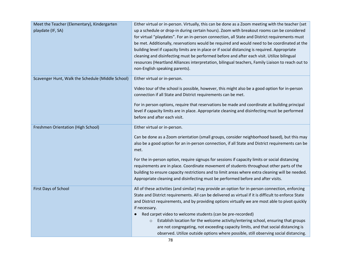| Meet the Teacher (Elementary), Kindergarten       | Either virtual or in-person. Virtually, this can be done as a Zoom meeting with the teacher (set     |  |  |
|---------------------------------------------------|------------------------------------------------------------------------------------------------------|--|--|
| playdate (IF, SA)                                 | up a schedule or drop-in during certain hours). Zoom with breakout rooms can be considered           |  |  |
|                                                   | for virtual "playdates". For an in-person connection, all State and District requirements must       |  |  |
|                                                   | be met. Additionally, reservations would be required and would need to be coordinated at the         |  |  |
|                                                   | building level if capacity limits are in place or if social distancing is required. Appropriate      |  |  |
|                                                   | cleaning and disinfecting must be performed before and after each visit. Utilize bilingual           |  |  |
|                                                   | resources (Heartland Alliances interpretation, bilingual teachers, Family Liaison to reach out to    |  |  |
|                                                   | non-English speaking parents).                                                                       |  |  |
| Scavenger Hunt, Walk the Schedule (Middle School) | Either virtual or in-person.                                                                         |  |  |
|                                                   | Video tour of the school is possible, however, this might also be a good option for in-person        |  |  |
|                                                   | connection if all State and District requirements can be met.                                        |  |  |
|                                                   | For in person options, require that reservations be made and coordinate at building principal        |  |  |
|                                                   | level if capacity limits are in place. Appropriate cleaning and disinfecting must be performed       |  |  |
|                                                   | before and after each visit.                                                                         |  |  |
|                                                   |                                                                                                      |  |  |
| Freshmen Orientation (High School)                | Either virtual or in-person.                                                                         |  |  |
|                                                   | Can be done as a Zoom orientation (small groups, consider neighborhood based), but this may          |  |  |
|                                                   | also be a good option for an in-person connection, if all State and District requirements can be     |  |  |
|                                                   | met.                                                                                                 |  |  |
|                                                   | For the in-person option, require signups for sessions if capacity limits or social distancing       |  |  |
|                                                   | requirements are in place. Coordinate movement of students throughout other parts of the             |  |  |
|                                                   | building to ensure capacity restrictions and to limit areas where extra cleaning will be needed.     |  |  |
|                                                   | Appropriate cleaning and disinfecting must be performed before and after visits.                     |  |  |
| First Days of School                              | All of these activities (and similar) may provide an option for in-person connection, enforcing      |  |  |
|                                                   | State and District requirements. All can be delivered as virtual if it is difficult to enforce State |  |  |
|                                                   | and District requirements, and by providing options virtually we are most able to pivot quickly      |  |  |
|                                                   | if necessary.                                                                                        |  |  |
|                                                   | Red carpet video to welcome students (can be pre-recorded)                                           |  |  |
|                                                   | Establish location for the welcome activity/entering school, ensuring that groups<br>$\circ$         |  |  |
|                                                   | are not congregating, not exceeding capacity limits, and that social distancing is                   |  |  |
|                                                   | observed. Utilize outside options where possible, still observing social distancing.                 |  |  |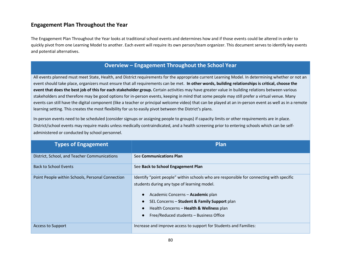#### **Engagement Plan Throughout the Year**

The Engagement Plan Throughout the Year looks at traditional school events and determines how and if those events could be altered in order to quickly pivot from one Learning Model to another. Each event will require its own person/team organizer. This document serves to identify key events and potential alternatives.

### **Overview – Engagement Throughout the School Year**

All events planned must meet State, Health, and District requirements for the appropriate current Learning Model. In determining whether or not an event should take place, organizers must ensure that all requirements can be met. **In other words, building relationships is critical, choose the event that does the best job of this for each stakeholder group.** Certain activities may have greater value in building relations between various stakeholders and therefore may be good options for in-person events, keeping in mind that some people may still prefer a virtual venue. Many events can still have the digital component (like a teacher or principal welcome video) that can be played at an in-person event as well as in a remote learning setting. This creates the most flexibility for us to easily pivot between the District's plans.

In-person events need to be scheduled (consider signups or assigning people to groups) if capacity limits or other requirements are in place. District/school events may require masks unless medically contraindicated, and a health screening prior to entering schools which can be selfadministered or conducted by school personnel.

| <b>Types of Engagement</b>                       | Plan                                                                                                                                                                                                                                                                                                               |
|--------------------------------------------------|--------------------------------------------------------------------------------------------------------------------------------------------------------------------------------------------------------------------------------------------------------------------------------------------------------------------|
| District, School, and Teacher Communications     | See Communications Plan                                                                                                                                                                                                                                                                                            |
| <b>Back to School Events</b>                     | See Back to School Engagement Plan                                                                                                                                                                                                                                                                                 |
| Point People within Schools, Personal Connection | Identify "point people" within schools who are responsible for connecting with specific<br>students during any type of learning model.<br>Academic Concerns - Academic plan<br>SEL Concerns - Student & Family Support plan<br>Health Concerns - Health & Wellness plan<br>Free/Reduced students - Business Office |
| <b>Access to Support</b>                         | Increase and improve access to support for Students and Families:                                                                                                                                                                                                                                                  |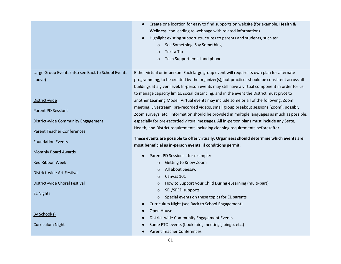|                                                    | Create one location for easy to find supports on website (for example, Health &                 |  |  |  |  |
|----------------------------------------------------|-------------------------------------------------------------------------------------------------|--|--|--|--|
|                                                    | Wellness icon leading to webpage with related information)                                      |  |  |  |  |
|                                                    | Highlight existing support structures to parents and students, such as:                         |  |  |  |  |
|                                                    | ○ See Something, Say Something                                                                  |  |  |  |  |
|                                                    | Text a Tip<br>$\circ$                                                                           |  |  |  |  |
|                                                    | Tech Support email and phone<br>$\circ$                                                         |  |  |  |  |
|                                                    |                                                                                                 |  |  |  |  |
| Large Group Events (also see Back to School Events | Either virtual or in-person. Each large group event will require its own plan for alternate     |  |  |  |  |
| above)                                             | programming, to be created by the organizer(s), but practices should be consistent across all   |  |  |  |  |
|                                                    | buildings at a given level. In-person events may still have a virtual component in order for us |  |  |  |  |
|                                                    | to manage capacity limits, social distancing, and in the event the District must pivot to       |  |  |  |  |
| District-wide                                      | another Learning Model. Virtual events may include some or all of the following: Zoom           |  |  |  |  |
| <b>Parent PD Sessions</b>                          | meeting, Livestream, pre-recorded videos, small group breakout sessions (Zoom), possibly        |  |  |  |  |
|                                                    | Zoom surveys, etc. Information should be provided in multiple languages as much as possible,    |  |  |  |  |
| District-wide Community Engagement                 | especially for pre-recorded virtual messages. All in-person plans must include any State,       |  |  |  |  |
| <b>Parent Teacher Conferences</b>                  | Health, and District requirements including cleaning requirements before/after.                 |  |  |  |  |
|                                                    | These events are possible to offer virtually. Organizers should determine which events are      |  |  |  |  |
| <b>Foundation Events</b>                           | most beneficial as in-person events, if conditions permit.                                      |  |  |  |  |
| <b>Monthly Board Awards</b>                        |                                                                                                 |  |  |  |  |
|                                                    | Parent PD Sessions - for example:                                                               |  |  |  |  |
| <b>Red Ribbon Week</b>                             | Getting to Know Zoom<br>$\circ$                                                                 |  |  |  |  |
| District-wide Art Festival                         | All about Seesaw<br>$\circ$                                                                     |  |  |  |  |
|                                                    | Canvas 101<br>$\circ$                                                                           |  |  |  |  |
| District-wide Choral Festival                      | How to Support your Child During eLearning (multi-part)<br>$\circ$                              |  |  |  |  |
| <b>EL Nights</b>                                   | SEL/SPED supports<br>$\circ$                                                                    |  |  |  |  |
|                                                    | Special events on these topics for EL parents<br>$\circ$                                        |  |  |  |  |
|                                                    | Curriculum Night (see Back to School Engagement)                                                |  |  |  |  |
| By School(s)                                       | Open House                                                                                      |  |  |  |  |
|                                                    | District-wide Community Engagement Events                                                       |  |  |  |  |
| <b>Curriculum Night</b>                            | Some PTO events (book fairs, meetings, bingo, etc.)                                             |  |  |  |  |
|                                                    | <b>Parent Teacher Conferences</b>                                                               |  |  |  |  |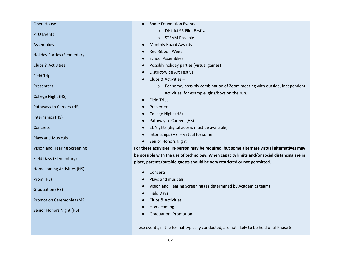Open House

PTO Events

Assemblies

Holiday Parties (Elementary)

Clubs & Activities

Field Trips

**Presenters** 

College Night (HS)

Pathways to Careers (HS)

Internships (HS)

**Concerts** 

Plays and Musicals

Vision and Hearing Screening

Field Days (Elementary)

Homecoming Activities (HS)

Prom (HS)

Graduation (HS)

Promotion Ceremonies (MS)

Senior Honors Night (HS)

● Some Foundation Events

- o District 95 Film Festival
- o STEAM Possible
- Monthly Board Awards
- Red Ribbon Week
- School Assemblies
- Possibly holiday parties (virtual games)
- District-wide Art Festival
- Clubs & Activities
	- o For some, possibly combination of Zoom meeting with outside, independent activities; for example, girls/boys on the run.
- **Field Trips**
- **Presenters**
- College Night (HS)
- Pathway to Careers (HS)
- EL Nights (digital access must be available)
- $\bullet$  Internships (HS) virtual for some
- Senior Honors Night

**For these activities, in-person may be required, but some alternate virtual alternatives may be possible with the use of technology. When capacity limits and/or social distancing are in place, parents/outside guests should be very restricted or not permitted.**

- Concerts
- Plays and musicals
- Vision and Hearing Screening (as determined by Academics team)
- Field Days
- Clubs & Activities
- Homecoming
- Graduation, Promotion

These events, in the format typically conducted, are not likely to be held until Phase 5: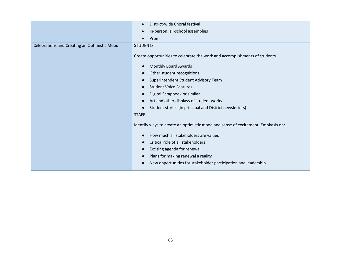| District-wide Choral festival                                                    |  |  |  |
|----------------------------------------------------------------------------------|--|--|--|
| In-person, all-school assemblies                                                 |  |  |  |
| Prom                                                                             |  |  |  |
| <b>STUDENTS</b>                                                                  |  |  |  |
| Create opportunities to celebrate the work and accomplishments of students       |  |  |  |
| <b>Monthly Board Awards</b>                                                      |  |  |  |
| Other student recognitions                                                       |  |  |  |
| Superintendent Student Advisory Team                                             |  |  |  |
| <b>Student Voice Features</b>                                                    |  |  |  |
| Digital Scrapbook or similar                                                     |  |  |  |
| Art and other displays of student works                                          |  |  |  |
| Student stories (in principal and District newsletters)                          |  |  |  |
| <b>STAFF</b>                                                                     |  |  |  |
| Identify ways to create an optimistic mood and sense of excitement. Emphasis on: |  |  |  |
| How much all stakeholders are valued                                             |  |  |  |
| Critical role of all stakeholders                                                |  |  |  |
| Exciting agenda for renewal                                                      |  |  |  |
| Plans for making renewal a reality                                               |  |  |  |
| New opportunities for stakeholder participation and leadership                   |  |  |  |
|                                                                                  |  |  |  |